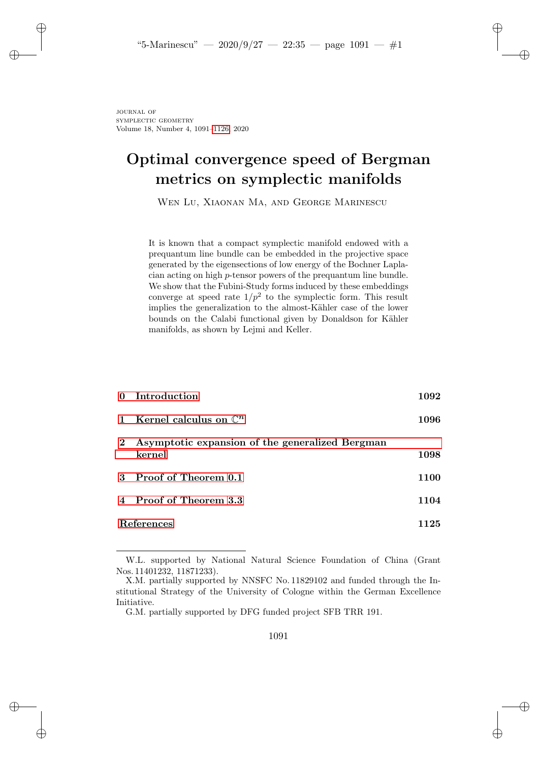✐

✐

✐

✐

journal of SYMPLECTIC GEOMETRY Volume 18, Number 4, 1091–1126, 2020

✐

✐

✐

✐

# Optimal convergence speed of Bergman metrics on symplectic manifolds

Wen Lu, Xiaonan Ma, and George Marinescu

It is known that a compact symplectic manifold endowed with a prequantum line bundle can be embedded in the projective space generated by the eigensections of low energy of the Bochner Laplacian acting on high p-tensor powers of the prequantum line bundle. We show that the Fubini-Study forms induced by these embeddings converge at speed rate  $1/p^2$  to the symplectic form. This result implies the generalization to the almost-Kähler case of the lower bounds on the Calabi functional given by Donaldson for Kähler manifolds, as shown by Lejmi and Keller.

|             | 0 Introduction                                            | 1092 |
|-------------|-----------------------------------------------------------|------|
|             | 1 Kernel calculus on $\mathbb{C}^n$                       | 1096 |
| $2^{\circ}$ | Asymptotic expansion of the generalized Bergman<br>kernel | 1098 |
|             | 3 Proof of Theorem 0.1                                    | 1100 |
|             | 4 Proof of Theorem 3.3                                    | 1104 |
| References  |                                                           | 1125 |

W.L. supported by National Natural Science Foundation of China (Grant Nos. 11401232, 11871233).

X.M. partially supported by NNSFC No. 11829102 and funded through the Institutional Strategy of the University of Cologne within the German Excellence Initiative.

G.M. partially supported by DFG funded project SFB TRR 191.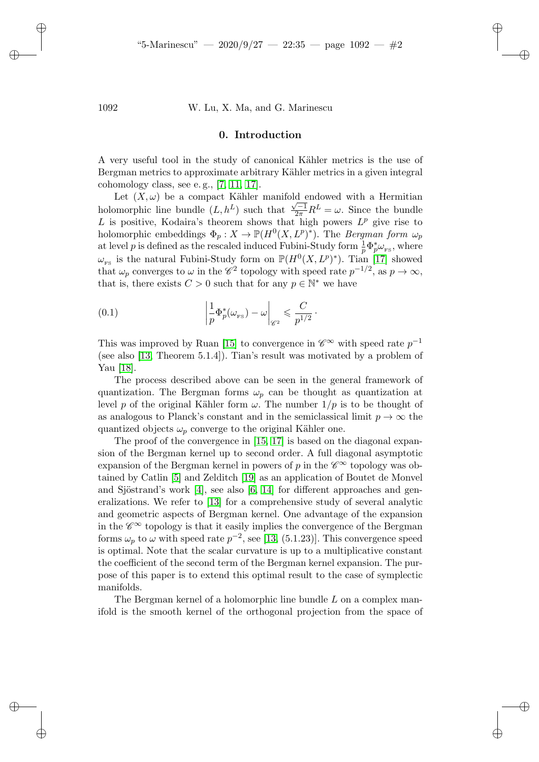✐

✐

✐

✐

#### 1092 W. Lu, X. Ma, and G. Marinescu

### 0. Introduction

A very useful tool in the study of canonical Kähler metrics is the use of Bergman metrics to approximate arbitrary Kähler metrics in a given integral cohomology class, see e. g., [7, 11, 17].

Let  $(X, \omega)$  be a compact Kähler manifold endow[ed](#page-35-0) with a Hermitian holomorphic line bundle  $(L, h^L)$  such that  $\frac{\sqrt{-1}}{2\pi}R^L = \omega$ . Since the bundle L is positive, Kodaira's theorem shows that high powers  $L^p$  give rise to holomorphic embeddings  $\Phi_p: X \to \mathbb{P}(H^0(X, L^p)^*)$ . The *Bergman form*  $\omega_p$ at level p is defined as the rescaled induced Fubini-Study form  $\frac{1}{p} \Phi_p^* \omega_{\text{FS}}$ , where  $\omega_{\text{rs}}$  is the natural Fubini-Study form on  $\mathbb{P}(H^0(X, L^p)^*)$ . Tian [17] showed that  $\omega_p$  converges to  $\omega$  in the  $\mathscr{C}^2$  topology with speed rate  $p^{-1/2}$ , as  $p \to \infty$ , that is, there exists  $C > 0$  $C > 0$  such that for any  $p \in \mathbb{N}^*$  we have

(0.1) 
$$
\left| \frac{1}{p} \Phi_p^*(\omega_{\text{rs}}) - \omega \right|_{\mathscr{C}^2} \leq \frac{C}{p^{1/2}}.
$$

This was improved by Ruan [15] to convergence in  $\mathscr{C}^{\infty}$  with speed rate  $p^{-1}$ (see also [13, Theorem 5.1.4]). Tian's result was motivated by a problem of Yau [18].

The process described [ab](#page-35-1)[ove](#page-35-0) can be seen in the general framework of quantization. The Bergman forms  $\omega_n$  can be thought as quantization at level p of the original Kähler form  $\omega$ . The number  $1/p$  is to be thought of as anal[ogo](#page-34-0)us to Planck'[s co](#page-35-2)nstant and in the semiclassical limit  $p \to \infty$  the quantized ob[jec](#page-34-1)ts  $\omega_p$  con[ver](#page-34-2)[ge t](#page-35-3)o the original Kähler one.

The proof o[f th](#page-35-4)e convergence in [15, 17] is based on the diagonal expansion of the Bergman kernel up to second order. A full diagonal asymptotic expansion of the Bergman kernel in powers of p in the  $\mathscr{C}^{\infty}$  topology was obtained by Catlin [5] and Zeld[itch](#page-35-4) [19] as an application of Boutet de Monvel and Sjöstrand's work  $[4]$ , see also  $[6, 14]$  for different approaches and generalizations. We refer to [13] for a comprehensive study of several analytic and geometric aspects of Bergman kernel. One advantage of the expansion in the  $\mathscr{C}^{\infty}$  topology is that it easily implies the convergence of the Bergman forms  $\omega_p$  to  $\omega$  with speed rate  $p^{-2}$ , see [13, (5.1.23)]. This convergence speed is optimal. Note that the scalar curvature is up to a multiplicative constant the coefficient of the second term of the Bergman kernel expansion. The purpose of this paper is to extend this optimal result to the case of symplectic manifolds.

The Bergman kernel of a holomorphic line bundle L on a complex manifold is the smooth kernel of the orthogonal projection from the space of

✐

✐

✐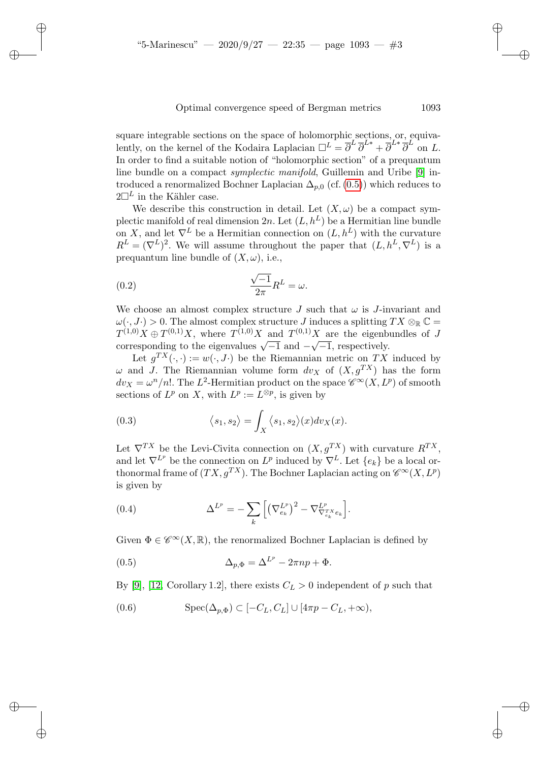square integrable sections on the space of h[olom](#page-2-0)orphic sections, or, equivalently, on the kernel of the Kodaira Laplacian  $\Box^L = \overline{\partial}^L \overline{\partial}^{L*} + \overline{\partial}^{L*} \overline{\partial}^{L}$  on L. In order to find a suitable notion of "holomorphic section" of a prequantum line bundle on a compact *symplectic manifold*, Guillemin and Uribe [9] introduced a renormalized Bochner Laplacian  $\Delta_{p,0}$  (cf. (0.5)) which reduces to  $2\Box^L$  in the Kähler case.

We describe this construction in detail. Let  $(X, \omega)$  be a compact symplectic manifold of real dimension 2n. Let  $(L, h^L)$  be a Hermitian line bundle on X, and let  $\nabla^L$  be a Hermitian connection on  $(L, h^L)$  with the curvature  $R^L = (\nabla^L)^2$ . We will assume throughout the paper that  $(L, h^L, \nabla^L)$  is a prequantum line bundle of  $(X, \omega)$ , i.e.,

(0.2) 
$$
\frac{\sqrt{-1}}{2\pi}R^L = \omega.
$$

✐

✐

✐

✐

We choose an almost complex structure J such that  $\omega$  is J-invariant and  $\omega(\cdot, J\cdot) > 0$ . The almost complex structure J induces a splitting  $TX \otimes_{\mathbb{R}} \mathbb{C} =$  $T^{(1,0)}X \oplus T^{(0,1)}X$ , where  $T^{(1,0)}X$  and  $T^{(0,1)}X$  are the eigenbundles of J corresponding to the eigenvalues  $\sqrt{-1}$  and  $-\sqrt{-1}$ , respectively.

Let  $g^{TX}(\cdot, \cdot) := w(\cdot, J\cdot)$  be the Riemannian metric on TX induced by  $\omega$  and J. The Riemannian volume form  $dv_X$  of  $(X, g^{TX})$  has the form  $dv_X = \omega^n/n!$ . The L<sup>2</sup>-Hermitian product on the space  $\mathscr{C}^{\infty}(X, L^p)$  of smooth sections of  $L^p$  on X, with  $L^p := L^{\otimes p}$ , is given by

(0.3) 
$$
\langle s_1, s_2 \rangle = \int_X \langle s_1, s_2 \rangle(x) dv_X(x).
$$

Let  $\nabla^{TX}$  be the Levi-Civita connection on  $(X, g^{TX})$  with curvature  $R^{TX}$ , and let  $\nabla^{L_p}$  be the connection on  $L^p$  induced by  $\nabla^L$ . Let  $\{e_k\}$  be a local orthonormal frame of  $(TX, g^{TX})$ . The Bochner Laplacian acting on  $\mathscr{C}^{\infty}(X, L^p)$ is given by

<span id="page-2-0"></span>(0.4) 
$$
\Delta^{L^p} = -\sum_{k} \left[ \left( \nabla_{e_k}^{L^p} \right)^2 - \nabla_{\nabla_{e_k}^{T X} e_k}^{L^p} \right].
$$

Given  $\Phi \in \mathscr{C}^{\infty}(X,\mathbb{R})$ , the renormalized Bochner Laplacian is defined by

(0.5) 
$$
\Delta_{p,\Phi} = \Delta^{L^p} - 2\pi np + \Phi.
$$

By [9], [12, Corollary 1.2], there exists  $C_L > 0$  independent of p such that

(0.6) 
$$
\text{Spec}(\Delta_{p,\Phi}) \subset [-C_L, C_L] \cup [4\pi p - C_L, +\infty),
$$

✐

✐

✐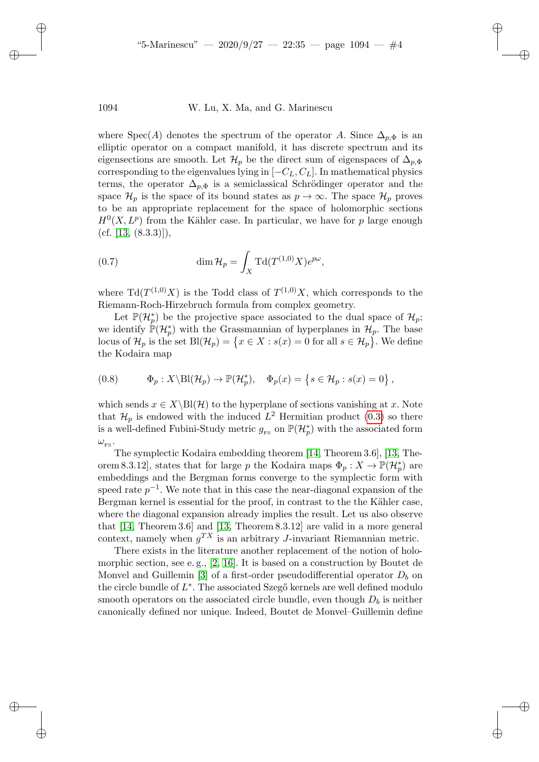✐

✐

✐

✐

where Spec(A) denotes the spectrum of the operator A. Since  $\Delta_{p,\Phi}$  is an elliptic operator on a compact manifold, it has discrete spectrum and its eigensections are smooth. Let  $\mathcal{H}_p$  be the direct sum of eigenspaces of  $\Delta_{p,\Phi}$ corresponding to the eigenvalues lying in  $[-C_L, C_L]$ . In mathematical physics terms, the operator  $\Delta_{n,\Phi}$  is a semiclassical Schrödinger operator and the space  $\mathcal{H}_p$  is the space of its bound states as  $p \to \infty$ . The space  $\mathcal{H}_p$  proves to be an appropriate replacement for the space of holomorphic sections  $H^0(X, L^p)$  from the Kähler case. In particular, we have for p large enough (cf. [13,  $(8.3.3)$ ]),

(0.7) 
$$
\dim \mathcal{H}_p = \int_X \mathrm{Td}(T^{(1,0)}X)e^{p\omega},
$$

where  $\text{Td}(T^{(1,0)}X)$  is the Todd class of  $T^{(1,0)}X$ , which corresponds to the Riemann-Roch-Hirzebruch formula from complex geometry.

<span id="page-3-0"></span>Let  $\mathbb{P}(\mathcal{H}_{p}^{*})$  be the projective space associated to the dual space of  $\mathcal{H}_{p}$ ; we identify  $\mathbb{P}(\mathcal{H}_p^*)$  with the Grassmannian of hyperplanes in  $\mathcal{H}_p$ . The base locus of  $\mathcal{H}_p$  is the set  $\text{Bl}(\mathcal{H}_p) = \{x \in X : s(x) = 0 \text{ for all } s \in \mathcal{H}_p\}$ . We define the Kodaira map

(0.8) 
$$
\Phi_p: X \backslash \text{Bl}(\mathcal{H}_p) \to \mathbb{P}(\mathcal{H}_p^*), \quad \Phi_p(x) = \left\{ s \in \mathcal{H}_p : s(x) = 0 \right\},
$$

which sends  $x \in X\setminus B(\mathcal{H})$  to the hyper[plan](#page-35-3)e of sections v[anis](#page-35-4)hing at x. Note that  $\mathcal{H}_p$  is endowed with the induced  $L^2$  Hermitian product (0.3) so there is a well-defined Fubini-Study metric  $g_{\text{\tiny FS}}$  on  $\mathbb{P}(\mathcal{H}_p^*)$  with the associated form  $\omega_{\scriptscriptstyle \rm FS}.$ 

The symplectic Kodaira embedding theorem [14, Theorem 3.6], [13, Theorem 8.3.12], state[s th](#page-35-4)at for large p the Kodaira maps  $\Phi_p: X \to \mathbb{P}(\mathcal{H}_p^*)$  are embeddings and the Bergman forms converge to the symplectic form with speed rate  $p^{-1}$ . We note that in this case the near-diagonal expansion of the Bergman kernel [is](#page-34-4) [esse](#page-35-5)ntial for the proof, in contrast to the the Kähler case, where the dia[go](#page-34-5)nal expansion already implies the result. Let us also observe that [14, Theorem 3.6] and [13, Theorem 8.3.12] are valid in a more general context, namely when  $g^{TX}$  is an arbitrary J-invariant Riemannian metric.

There exists in the literature another replacement of the notion of holomorphic section, see e. g., [2, 16]. It is based on a construction by Boutet de Monvel and Guillemin [3] of a first-order pseudodifferential operator  $D_b$  on the circle bundle of  $L^*$ . The associated Szegő kernels are well defined modulo smooth operators on the associated circle bundle, even though  $D<sub>b</sub>$  is neither canonically defined nor unique. Indeed, Boutet de Monvel–Guillemin define

✐

✐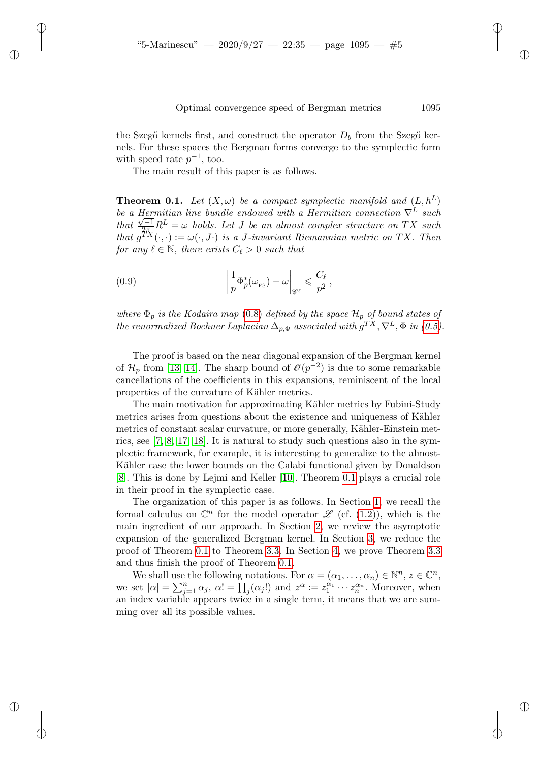<span id="page-4-0"></span>the Szegő kernels first, and construct the operator  $D_b$  from the Szegő kernels. For these spaces the Bergman forms converge to the symplectic form with speed rate  $p^{-1}$ , too.

The main result of this paper is as follows.

✐

✐

✐

✐

**Theorem 0.1.** Let  $(X, \omega)$  be a compact symplectic manifold and  $(L, h^L)$ *be a Hermitian line bundle endowed with a Hermitian connection*  $∇<sup>L</sup>$  *such that*  $\frac{\sqrt{-1}}{2\pi}R^L = \omega$  *holds. Let J be an almost complex structure on* TX *such that*  $g^{TX}(\cdot, \cdot) := \omega(\cdot, J \cdot)$  *is a J-invariant Riemannian metric on* TX. Then *for any*  $\ell \in \mathbb{N}$ *, there [exis](#page-3-0)ts*  $C_{\ell} > 0$  *such that* 

(0.9) 
$$
\left| \frac{1}{p} \Phi_p^*(\omega_{\text{rs}}) - \omega \right|_{\mathscr{C}^\ell} \leq \frac{C_\ell}{p^2},
$$

*w[here](#page-35-4)*  $\Phi_p$  *is the Kodaira map* (0.8) *defined by the space*  $\mathcal{H}_p$  *of bound states of the renormalized Bochner Laplacian*  $\Delta_{p,\Phi}$  *associated with*  $g^{TX}, \nabla^{L}, \Phi$  *in (0.5).* 

The proof is based on the near diagonal expansion of the Bergman kernel of  $\mathcal{H}_p$  from [13, 14]. The sharp bound of  $\mathcal{O}(p^{-2})$  is due to some remarkable [ca](#page-34-6)[nc](#page-34-7)[ella](#page-35-0)[tion](#page-35-6)s of the coefficients in this expansions, reminiscent of the local properties of the curvature of Kähler metrics.

The main motivation for approximating Kähler metrics by Fubini-Study metrics arises from question[s ab](#page-34-8)out the ex[isten](#page-4-0)ce and uniqueness of Kähler metrics of constant scalar curvature, or more generally, Kähler-Einstein metrics, see [7, 8, 17, 18]. It is natural to study such [qu](#page-5-0)estions also in the symplectic framework, for example, it is interestin[g to](#page-5-1) generalize to the almostKähler case the lower bounds on th[e C](#page-7-0)alabi functional given by Donaldson [8]. This is done by Lejmi and Keller [10]. Theo[rem](#page-9-0) 0.1 plays a crucial role in their [proo](#page-4-0)f in the sym[plec](#page-13-1)tic case.

The organization of this [pap](#page-4-0)er is as [fo](#page-13-0)llows. In Section 1, [we r](#page-13-1)ecall the formal calculus on  $\mathbb{C}^n$  for the model operator  $\mathscr{L}$  (cf. (1.2)), which is the main ingredient of our approach. In Section 2, we review the asymptotic expansion of the generalized Bergman kernel. In Section 3, we reduce the proof of Theorem 0.1 to Theorem 3.3. In Section 4, we prove Theorem 3.3 and thus finish the proof of Theorem 0.1.

We shall use the following notations. For  $\alpha = (\alpha_1, \dots, \alpha_n) \in \mathbb{N}^n$ ,  $z \in \mathbb{C}^n$ , we set  $|\alpha| = \sum_{j=1}^n \alpha_j$ ,  $\alpha! = \prod_j (\alpha_j!)$  and  $z^{\alpha} := z_1^{\alpha_1} \cdots z_n^{\alpha_n}$ . Moreover, when an index variable appears twice in a single term, it means that we are summing over all its possible values.

✐

✐

✐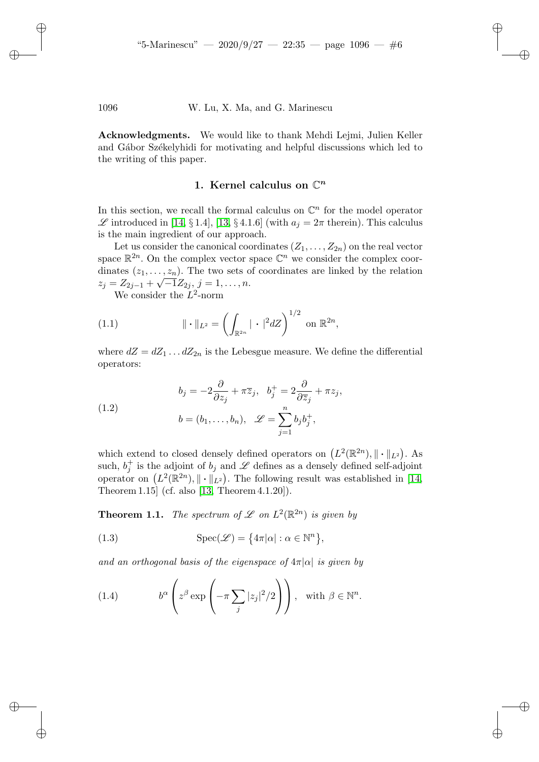<span id="page-5-0"></span>Acknowledgments. We would like to thank Mehdi Lejmi, Julien Keller and Gábor Székelyhidi for motivating and helpful discussions which led to the wri[ting](#page-35-3) of this [pa](#page-35-4)per.

# 1. Kernel calculus on  $\mathbb{C}^n$

In this section, we recall the formal calculus on  $\mathbb{C}^n$  for the model operator  $\mathscr L$  introduced in [14, § 1.4], [13, § 4.1.6] (with  $a_j = 2\pi$  therein). This calculus is the main ingredient of our approach.

Let us consider the canonical coordinates  $(Z_1, \ldots, Z_{2n})$  on the real vector space  $\mathbb{R}^{2n}$ . On the complex vector space  $\mathbb{C}^n$  we consider the complex coordinates  $(z_1, \ldots, z_n)$ . The two sets of coordinates are linked by the relation  $z_j = Z_{2j-1} + \sqrt{-1}Z_{2j}, j = 1, \ldots, n.$ 

We consider the  $L^2$ -norm

✐

✐

✐

✐

(1.1) 
$$
\|\cdot\|_{L^2} = \left(\int_{\mathbb{R}^{2n}} |\cdot|^2 dZ\right)^{1/2} \text{ on } \mathbb{R}^{2n},
$$

<span id="page-5-1"></span>where  $dZ = dZ_1 \dots dZ_{2n}$  is the Lebesgue measure. We define the differential operators:

(1.2) 
$$
b_j = -2\frac{\partial}{\partial z_j} + \pi \overline{z}_j, \quad b_j^+ = 2\frac{\partial}{\partial \overline{z}_j} + \pi z_j,
$$

$$
b = (b_1, \dots, b_n), \quad \mathscr{L} = \sum_{j=1}^n b_j b_j^+,
$$

<span id="page-5-2"></span>which extend to closed densely defined operators on  $(L^2(\mathbb{R}^{2n}), \|\cdot\|_{L^2})$ . As such,  $b_j^+$  is the adjoint of  $b_j$  and  $\mathscr L$  defines as a densely defined self-adjoint operator on  $(L^2(\mathbb{R}^{2n}), \|\cdot\|_{L^2})$ . The following result was established in [14, Theorem 1.15] (cf. also [13, Theorem 4.1.20]).

**Theorem 1.1.** The spectrum of  $\mathscr L$  on  $L^2(\mathbb R^{2n})$  is given by

(1.3) 
$$
\operatorname{Spec}(\mathscr{L}) = \{4\pi|\alpha| : \alpha \in \mathbb{N}^n\},\
$$

*and an orthogonal basis of the eigenspace of*  $4\pi |\alpha|$  *is given by* 

(1.4) 
$$
b^{\alpha} \left( z^{\beta} \exp \left( -\pi \sum_{j} |z_{j}|^{2} / 2 \right) \right), \text{ with } \beta \in \mathbb{N}^{n}.
$$

✐

✐

✐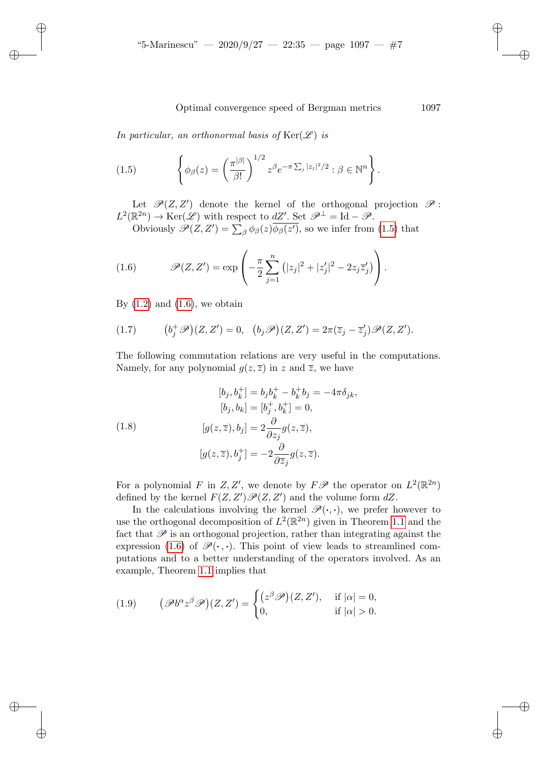<span id="page-6-0"></span>*In particular, an orthonormal basis of*  $\text{Ker}(\mathscr{L})$  *is* 

(1.5) 
$$
\left\{\phi_{\beta}(z) = \left(\frac{\pi^{|\beta|}}{\beta!}\right)^{1/2} z^{\beta} e^{-\pi \sum_j |z_j|^2/2} : \beta \in \mathbb{N}^n\right\}.
$$

<span id="page-6-1"></span>Let  $\mathscr{P}(Z,Z')$  denote the kernel of the orthogonal projection  $\mathscr{P}$ :  $L^2(\mathbb{R}^{2n}) \to \text{Ker}(\mathscr{L})$  with respect to  $dZ'$ . Set  $\mathscr{P}^{\perp} = \text{Id} - \mathscr{P}$ .

Obviously  $\mathscr{P}(Z,Z') = \sum_{\beta} \phi_{\beta}(z) \phi_{\beta}(z')$ , so we infer from (1.5) that

<span id="page-6-2"></span>(1.6) 
$$
\mathscr{P}(Z, Z') = \exp\left(-\frac{\pi}{2}\sum_{j=1}^{n} (|z_j|^2 + |z'_j|^2 - 2z_j \overline{z}'_j) \right).
$$

By  $(1.2)$  and  $(1.6)$ , we obtain

✐

✐

✐

✐

(1.7) 
$$
(b_j^+\mathscr{P})(Z,Z')=0, (b_j\mathscr{P})(Z,Z')=2\pi(\overline{z}_j-\overline{z}_j')\mathscr{P}(Z,Z').
$$

<span id="page-6-3"></span>The following commutation relations are very useful in the computations. Namely, for any polynomial  $g(z,\overline{z})$  in z and  $\overline{z}$ , we have

(1.8)  
\n
$$
[b_j, b_k^+] = b_j b_k^+ - b_k^+ b_j = -4\pi \delta_{jk},
$$
\n
$$
[b_j, b_k] = [b_j^+, b_k^+] = 0,
$$
\n
$$
[g(z, \overline{z}), b_j] = 2 \frac{\partial}{\partial z_j} g(z, \overline{z}),
$$
\n
$$
[g(z, \overline{z}), b_j^+] = -2 \frac{\partial}{\partial \overline{z}_j} g(z, \overline{z}).
$$

Fo[r a](#page-6-1) polynomial F in Z, Z', we denote by  $F\mathscr{P}$  the operator on  $L^2(\mathbb{R}^{2n})$ defined by the kernel  $F(Z, Z')\mathscr{P}(Z, Z')$  and the volume form  $dZ$ .

In th[e ca](#page-5-2)lculations involving the kernel  $\mathscr{P}(\cdot,\cdot)$ , we prefer however to use the orthogonal decomposition of  $L^2(\mathbb{R}^{2n})$  given in Theorem 1.1 and the fact that  $\mathscr P$  is an orthogonal projection, rather than integrating against the expression (1.6) of  $\mathscr{P}(\cdot, \cdot)$ . This point of view leads to streamlined computations and to a better understanding of the operators involved. As an example, Theorem 1.1 implies that

(1.9) 
$$
(\mathscr{P}b^{\alpha}z^{\beta}\mathscr{P})(Z,Z') = \begin{cases} (z^{\beta}\mathscr{P})(Z,Z'), & \text{if } |\alpha| = 0, \\ 0, & \text{if } |\alpha| > 0. \end{cases}
$$

✐

✐

✐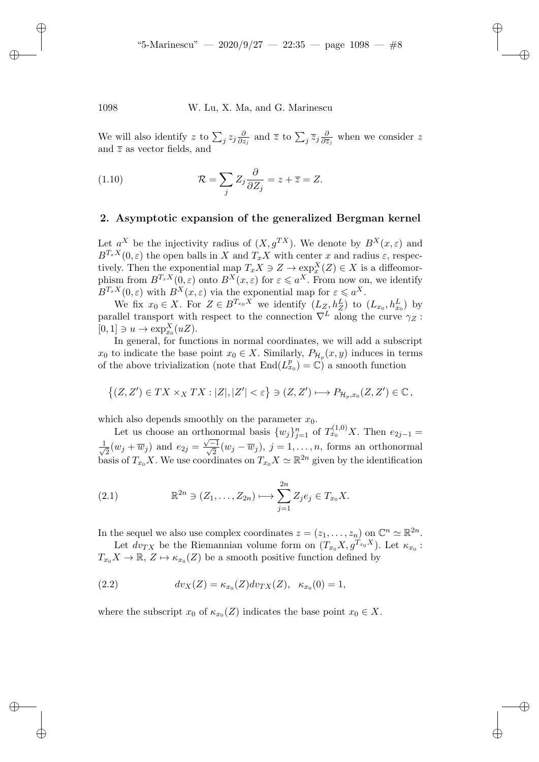We will also identify z to  $\sum_j z_j \frac{\partial}{\partial z_j}$  $\frac{\partial}{\partial z_j}$  and  $\overline{z}$  to  $\sum_j \overline{z}_j \frac{\partial}{\partial \overline{z}}$  $\frac{\partial}{\partial \overline{z}_j}$  when we consider z and  $\overline{z}$  as vector fields, and

(1.10) 
$$
\mathcal{R} = \sum_{j} Z_j \frac{\partial}{\partial Z_j} = z + \overline{z} = Z.
$$

#### <span id="page-7-0"></span>2. Asymptotic expansion of the generalized Bergman kernel

Let  $a^X$  be the injectivity radius of  $(X, g^{TX})$ . We denote by  $B^X(x, \varepsilon)$  and  $B^{T_x X}(0, \varepsilon)$  the open balls in X and  $T_x X$  with center x and radius  $\varepsilon$ , respectively. Then the exponential map  $T_x X \ni Z \to \exp^X_x(Z) \in X$  is a diffeomorphism from  $B^{T_x X}(0,\varepsilon)$  onto  $B^{X}(x,\varepsilon)$  for  $\varepsilon \leqslant a^X$ . From now on, we identify  $B^{T_x X}(0,\varepsilon)$  with  $B^{X}(x,\varepsilon)$  via the exponential map for  $\varepsilon \leqslant a^{X}$ .

We fix  $x_0 \in X$ . For  $Z \in B^{T_{x_0}X}$  we identify  $(L_{Z_1}, h_Z^L)$  to  $(L_{x_0}, h_{x_0}^L)$  by parallel transport with respect to the connection  $\nabla^L$  along the curve  $\gamma_Z$ :  $[0,1] \ni u \to \exp_{x_0}^X(uZ).$ 

In general, for functions in normal coordinates, we will add a subscript  $x_0$  to indicate the base point  $x_0 \in X$ . Similarly,  $P_{\mathcal{H}_p}(x, y)$  induces in terms of the above trivialization (note that  $\text{End}(L_{x_0}^p) = \mathbb{C}$ ) a smooth function

$$
\{(Z,Z')\in TX\times_X TX: |Z|, |Z'|<\varepsilon\}\ni (Z,Z')\longmapsto P_{\mathcal{H}_p,x_0}(Z,Z')\in\mathbb{C}\,,
$$

which also depends smoothly on the parameter  $x_0$ .

Let us choose an orthonormal basis  $\{w_j\}_{j=1}^n$  of  $T_{x_0}^{(1,0)}X$ . Then  $e_{2j-1}$  =  $\frac{1}{\sqrt{2}}$  $\frac{1}{2}(w_j + \overline{w}_j)$  and  $e_{2j} = \frac{\sqrt{-1}}{\sqrt{2}}(w_j - \overline{w}_j)$ ,  $j = 1, \ldots, n$ , forms an orthonormal basis of  $T_{x_0}X$ . We use coordinates on  $T_{x_0}X \simeq \mathbb{R}^{2n}$  given by the identification

(2.1) 
$$
\mathbb{R}^{2n} \ni (Z_1, \dots, Z_{2n}) \longmapsto \sum_{j=1}^{2n} Z_j e_j \in T_{x_0} X.
$$

In the sequel we also use complex coordinates  $z = (z_1, \ldots, z_n)$  on  $\mathbb{C}^n \simeq \mathbb{R}^{2n}$ .

Let  $dv_{TX}$  be the Riemannian volume form on  $(T_{x_0}X, g^{T_{x_0}X})$ . Let  $\kappa_{x_0}$ :  $T_{x_0}X \to \mathbb{R}, Z \mapsto \kappa_{x_0}(Z)$  be a smooth positive function defined by

(2.2) 
$$
dv_X(Z) = \kappa_{x_0}(Z) dv_{TX}(Z), \ \kappa_{x_0}(0) = 1,
$$

where the subscript  $x_0$  of  $\kappa_{x_0}(Z)$  indicates the base point  $x_0 \in X$ .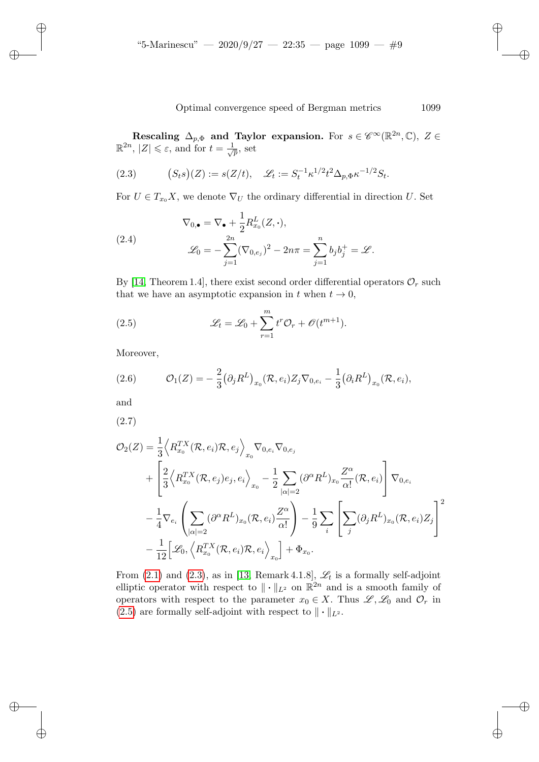✐

✐

✐

✐

Optimal convergence speed of Bergman metrics 1099

<span id="page-8-0"></span>Rescaling  $\Delta_{p,\Phi}$  and Taylor expansion. For  $s \in \mathscr{C}^{\infty}(\mathbb{R}^{2n}, \mathbb{C}), Z \in \mathbb{R}^{2n}, |Z| \leq \varepsilon$ , and for  $t = \frac{1}{\sqrt{p}}$ , set  $\overline{\overline{p}}$ , set

(2.3) 
$$
(S_t s)(Z) := s(Z/t), \quad \mathcal{L}_t := S_t^{-1} \kappa^{1/2} t^2 \Delta_{p, \Phi} \kappa^{-1/2} S_t.
$$

For  $U \in T_{x_0}X$ , we denote  $\nabla_U$  the ordinary differential in direction U. Set

(2.4) 
$$
\nabla_{0,\bullet} = \nabla_{\bullet} + \frac{1}{2} R_{x_0}^L(Z, \cdot),
$$

$$
\mathscr{L}_0 = -\sum_{j=1}^{2n} (\nabla_{0,e_j})^2 - 2n\pi = \sum_{j=1}^n b_j b_j^+ = \mathscr{L}.
$$

By [14, Theorem 1.4], there exist second order differential operators  $\mathcal{O}_r$  such that we have an asymptotic expansion in t when  $t \to 0$ ,

<span id="page-8-1"></span>(2.5) 
$$
\mathscr{L}_t = \mathscr{L}_0 + \sum_{r=1}^m t^r \mathcal{O}_r + \mathcal{O}(t^{m+1}).
$$

Moreover,

(2.6) 
$$
\mathcal{O}_1(Z) = -\frac{2}{3} (\partial_j R^L)_{x_0} (\mathcal{R}, e_i) Z_j \nabla_{0, e_i} - \frac{1}{3} (\partial_i R^L)_{x_0} (\mathcal{R}, e_i),
$$

and

✐

✐

✐

✐

(2.7)

$$
\mathcal{O}_{2}(Z) = \frac{1}{3} \Big\langle R_{x_{0}}^{TX}(\mathcal{R}, e_{i}) \mathcal{R}, e_{j} \Big\rangle_{x_{0}} \nabla_{0, e_{i}} \nabla_{0, e_{j}}
$$
  
+ 
$$
\Bigg[ \frac{2}{3} \Big\langle R_{x_{0}}^{TX}(\mathcal{R}, e_{j}) e_{j}, e_{i} \Big\rangle_{x_{0}} - \frac{1}{2} \sum_{|\alpha|=2} (\partial^{\alpha} R^{L})_{x_{0}} \frac{Z^{\alpha}}{\alpha!}(\mathcal{R}, e_{i}) \Bigg] \nabla_{0, e_{i}}
$$
  
- 
$$
\frac{1}{4} \nabla_{e_{i}} \left( \sum_{|\alpha|=2} (\partial^{\alpha} R^{L})_{x_{0}}(\mathcal{R}, e_{i}) \frac{Z^{\alpha}}{\alpha!} \right) - \frac{1}{9} \sum_{i} \Bigg[ \sum_{j} (\partial_{j} R^{L})_{x_{0}}(\mathcal{R}, e_{i}) Z_{j} \Bigg]^{2}
$$
  
- 
$$
\frac{1}{12} \Bigg[ \mathcal{L}_{0}, \Big\langle R_{x_{0}}^{TX}(\mathcal{R}, e_{i}) \mathcal{R}, e_{i} \Big\rangle_{x_{0}} \Bigg] + \Phi_{x_{0}}.
$$

From  $(2.1)$  and  $(2.3)$ , as in [13, Remark 4.1.8],  $\mathscr{L}_t$  is a formally self-adjoint elliptic operator with respect to  $\|\cdot\|_{L^2}$  on  $\mathbb{R}^{2n}$  and is a smooth family of operators with respect to the parameter  $x_0 \in X$ . Thus  $\mathscr{L}, \mathscr{L}_0$  and  $\mathcal{O}_r$  in (2.5) are formally self-adjoint with respect to  $\|\cdot\|_{L^2}$ .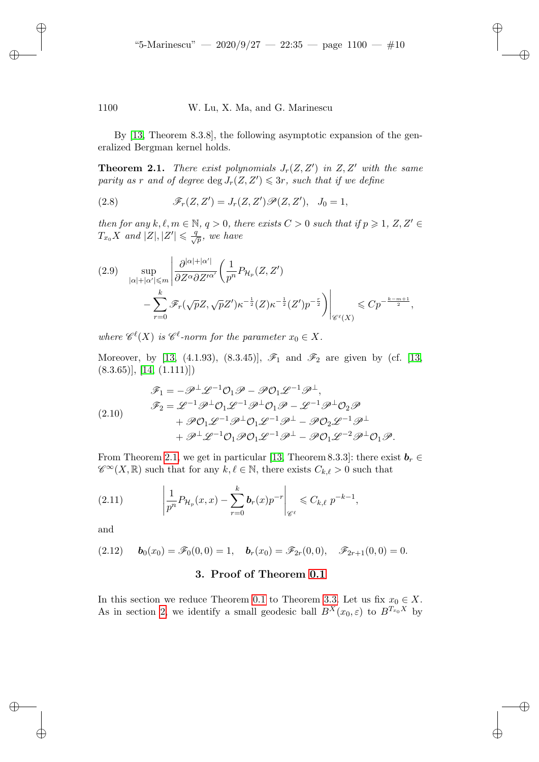✐

✐

✐

✐

1100 W. Lu, X. Ma, and G. Marinescu

By [13, Theorem 8.3.8], the following asymptotic expansion of the generalized Bergman kernel holds.

**Theorem 2.1.** *There exist polynomials*  $J_r(Z, Z')$  *in*  $Z, Z'$  *with the same* parity as r and of degree  $\deg J_r(Z, Z') \leqslant 3r$ , such that if we define

(2.8)  $\mathscr{F}_r(Z,Z') = J_r(Z,Z') \mathscr{P}(Z,Z'), J_0 = 1,$ 

*then for any*  $k, \ell, m \in \mathbb{N}, q > 0$ *, there exists*  $C > 0$  *such that if*  $p \geq 1, Z, Z' \in$  $T_{x_0}X$  and  $|Z|, |Z'| \leqslant \frac{q}{\sqrt{p}},$  we have

$$
(2.9) \quad \sup_{|\alpha|+|\alpha'| \leq m} \left| \frac{\partial^{|\alpha|+|\alpha'|}}{\partial Z^{\alpha} \partial Z'^{\alpha'}} \left( \frac{1}{p^n} P_{\mathcal{H}_p}(Z, Z') \right) - \sum_{r=0}^k \mathscr{F}_r(\sqrt{p}Z, \sqrt{p}Z') \kappa^{-\frac{1}{2}}(Z) \kappa^{-\frac{1}{2}}(Z') p^{-\frac{r}{2}} \right) \right|_{\mathscr{C}^{\ell}(X)} \leqslant C p^{-\frac{k-m+1}{2}},
$$

where  $\mathscr{C}^{\ell}(X)$  *is*  $\mathscr{C}^{\ell}$ -norm for the parameter  $x_0 \in X$ .

<span id="page-9-2"></span>Moreover, by [13, (4.1.93), (8.3.45)],  $\mathscr{F}_1$  and  $\mathscr{F}_2$  are given by (cf. [13,  $(8.3.65)$ ], [14,  $(1.111)$ ])

$$
\mathscr{F}_1 = -\mathscr{P}^\perp \mathscr{L}^{-1} \mathcal{O}_1 \mathscr{P} - \mathscr{P} \mathcal{O}_1 \mathscr{L}^{-1} \mathscr{P}^\perp,
$$
  
\n
$$
\mathscr{F}_2 = \mathscr{L}^{-1} \mathscr{P}^\perp \mathcal{O}_1 \mathscr{L}^{-1} \mathscr{P}^\perp \mathcal{O}_1 \mathscr{P} - \mathscr{L}^{-1} \mathscr{P}^\perp \mathcal{O}_2 \mathscr{P}
$$
  
\n
$$
+ \mathscr{P} \mathcal{O}_1 \mathscr{L}^{-1} \mathscr{P}^\perp \mathcal{O}_1 \mathscr{L}^{-1} \mathscr{P}^\perp - \mathscr{P} \mathcal{O}_2 \mathscr{L}^{-1} \mathscr{P}^\perp
$$
  
\n
$$
+ \mathscr{P}^\perp \mathscr{L}^{-1} \mathcal{O}_1 \mathscr{P} \mathcal{O}_1 \mathscr{L}^{-1} \mathscr{P}^\perp - \mathscr{P} \mathcal{O}_1 \mathscr{L}^{-2} \mathscr{P}^\perp \mathcal{O}_1 \mathscr{P}.
$$

From Theorem 2.1, we get in particular [13, Theorem 8.3.3]: there exist  $\mathbf{b}_r \in$  $\mathscr{C}^{\infty}(X,\mathbb{R})$  such that for any  $k,\ell \in \mathbb{N}$ , there exists  $C_{k,\ell} > 0$  such that

<span id="page-9-1"></span>(2.11) 
$$
\left|\frac{1}{p^n}P_{\mathcal{H}_p}(x,x)-\sum_{r=0}^k \bm{b}_r(x)p^{-r}\right|_{\mathscr{C}^\ell} \leqslant C_{k,\ell} p^{-k-1},
$$

<span id="page-9-0"></span>and

✐

✐

✐

✐

$$
(2.12) \t\tb0(x0) = \mathscr{F}_0(0,0) = 1, \tbr(x0) = \mathscr{F}_{2r}(0,0), \t\t \mathscr{F}_{2r+1}(0,0) = 0.
$$

### 3. Proof of Theorem 0.1

In this section we reduce Theorem 0.1 to Theorem 3.3. Let us fix  $x_0 \in X$ . As in section 2, we identify a small geodesic ball  $B^{X}(x_0, \varepsilon)$  to  $B^{T_{x_0}X}$  by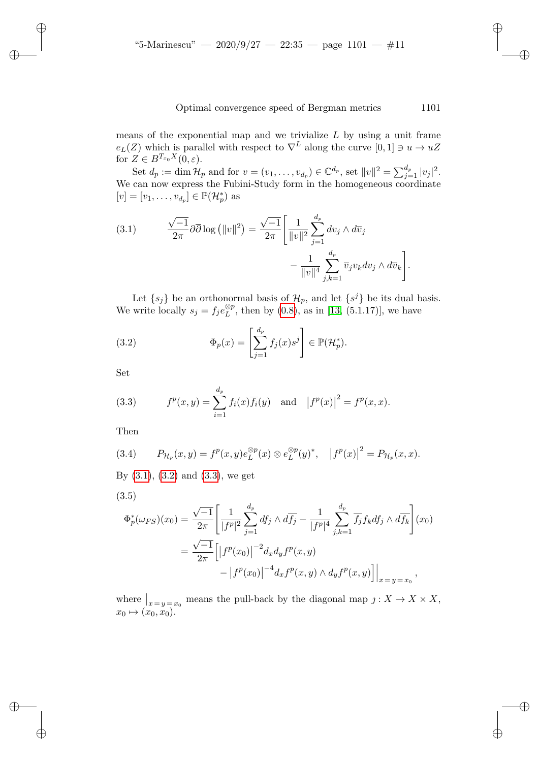means of the exponential map and we trivialize  $L$  by using a unit frame  $e_L(Z)$  which is parallel with respect to  $\nabla^L$  along the curve  $[0, 1] \ni u \to uZ$ for  $Z \in B^{T_{x_0}X}(0,\varepsilon)$ .

Set  $d_p := \dim \mathcal{H}_p$  and for  $v = (v_1, \ldots, v_{d_p}) \in \mathbb{C}^{d_p}$ , set  $||v||^2 = \sum_{j=1}^{d_p} |v_j|^2$ . We can now express the Fubini-Study form in the homogeneous coordinate  $[v] = [v_1, \ldots, v_{d_p}] \in \mathbb{P}(\mathcal{H}_p^*)$  as

(3.1) 
$$
\frac{\sqrt{-1}}{2\pi} \partial \overline{\partial} \log \left( ||v||^2 \right) = \frac{\sqrt{-1}}{2\pi} \left[ \frac{1}{||v||^2} \sum_{j=1}^{d_p} dv_j \wedge d\overline{v}_j - \frac{1}{||v||^4} \sum_{j,k=1}^{d_p} \overline{v}_j v_k dv_j \wedge d\overline{v}_k \right].
$$

Let  $\{s_j\}$  be an orthonormal basis of  $\mathcal{H}_p$ , and let  $\{s^j\}$  be its dual basis. We write locally  $s_j = f_j e_L^{\otimes p}$ , then by (0.8), as in [13, (5.1.17)], we have

(3.2) 
$$
\Phi_p(x) = \left[\sum_{j=1}^{d_p} f_j(x)s^j\right] \in \mathbb{P}(\mathcal{H}_p^*).
$$

Set

✐

✐

✐

✐

(3.3) 
$$
f^{p}(x, y) = \sum_{i=1}^{d_{p}} f_{i}(x) \overline{f_{i}}(y) \text{ and } |f^{p}(x)|^{2} = f^{p}(x, x).
$$

<span id="page-10-0"></span>Then

(3.4) 
$$
P_{\mathcal{H}_p}(x,y) = f^p(x,y)e_L^{\otimes p}(x) \otimes e_L^{\otimes p}(y)^*, \quad |f^p(x)|^2 = P_{\mathcal{H}_p}(x,x).
$$

By  $(3.1)$ ,  $(3.2)$  and  $(3.3)$ , we get

(3.5)

$$
\Phi_p^*(\omega_{FS})(x_0) = \frac{\sqrt{-1}}{2\pi} \left[ \frac{1}{|f^p|^2} \sum_{j=1}^{d_p} df_j \wedge d\overline{f_j} - \frac{1}{|f^p|^4} \sum_{j,k=1}^{d_p} \overline{f_j} f_k df_j \wedge d\overline{f_k} \right] (x_0)
$$

$$
= \frac{\sqrt{-1}}{2\pi} \left[ |f^p(x_0)|^{-2} d_x d_y f^p(x, y) - |f^p(x_0)|^{-4} d_x f^p(x, y) \wedge d_y f^p(x, y) \right] \Big|_{x=y=x_0},
$$

where  $\bigg|_{x=y=x_0}$  means the pull-back by the diagonal map  $j: X \to X \times X$ ,  $x_0 \mapsto (\tilde{x_0}, \tilde{x_0}).$ 

✐

✐

✐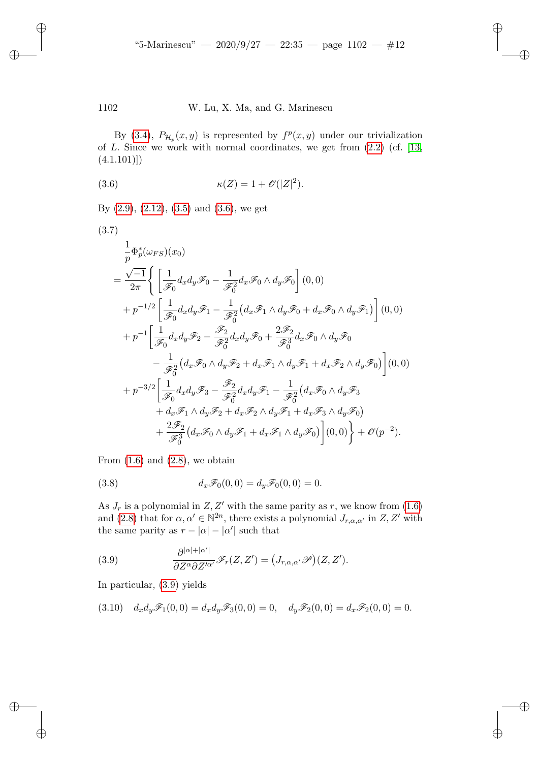<span id="page-11-0"></span>By (3.4),  $P_{\mathcal{H}_p}(x, y)$  is represented by  $f^p(x, y)$  under our trivialization of  $L$ . Si[nce](#page-10-0) we w[ork](#page-11-0) with normal coordinates, we get from  $(2.2)$  (cf. [13,  $(4.1.101)]$  $(4.1.101)]$  $(4.1.101)]$ 

<span id="page-11-4"></span>(3.6) 
$$
\kappa(Z) = 1 + \mathcal{O}(|Z|^2).
$$

By  $(2.9)$ ,  $(2.12)$ ,  $(3.5)$  and  $(3.6)$ , we get

✐

✐

✐

✐

$$
(3.7)
$$
\n
$$
\frac{1}{p}\Phi_p^*(\omega_{FS})(x_0)
$$
\n
$$
= \frac{\sqrt{-1}}{2\pi} \Biggl\{ \left[ \frac{1}{\mathcal{F}_0} d_x d_y \mathcal{F}_0 - \frac{1}{\mathcal{F}_0^2} d_x \mathcal{F}_0 \wedge d_y \mathcal{F}_0 \right] (0,0)
$$
\n
$$
+ p^{-1/2} \left[ \frac{1}{\mathcal{F}_0} d_x d_y \mathcal{F}_1 - \frac{1}{\mathcal{F}_0^2} (d_x \mathcal{F}_1 \wedge d_y \mathcal{F}_0 + d_x \mathcal{F}_0 \wedge d_y \mathcal{F}_1) \right] (0,0)
$$
\n
$$
+ p^{-1} \left[ \frac{1}{\mathcal{F}_0} d_x d_y \mathcal{F}_2 - \frac{\mathcal{F}_2}{\mathcal{F}_0^2} d_x d_y \mathcal{F}_0 + \frac{2\mathcal{F}_2}{\mathcal{F}_0^3} d_x \mathcal{F}_0 \wedge d_y \mathcal{F}_0 \right. \\ \left. - \frac{1}{\mathcal{F}_0^2} (d_x \mathcal{F}_0 \wedge d_y \mathcal{F}_2 + d_x \mathcal{F}_1 \wedge d_y \mathcal{F}_1 + d_x \mathcal{F}_2 \wedge d_y \mathcal{F}_0) \right] (0,0)
$$
\n
$$
+ p^{-3/2} \left[ \frac{1}{\mathcal{F}_0} d_x d_y \mathcal{F}_3 - \frac{\mathcal{F}_2}{\mathcal{F}_0^2} d_x d_y \mathcal{F}_1 - \frac{1}{\mathcal{F}_0^2} (d_x \mathcal{F}_0 \wedge d_y \mathcal{F}_3 \right. \\ \left. + d_x \mathcal{F}_1 \wedge d_y \mathcal{F}_2 + d_x \mathcal{F}_2 \wedge d_y \mathcal{F}_1 + d_x \mathcal{F}_3 \wedge d_y \mathcal{F}_0) \right. \\ \left. + \frac{2\mathcal{F}_2}{\mathcal{F}_0^3} (d_x \mathcal{F}_0 \wedge d_y \mathcal{F}_1 + d_x \mathcal{F}_1 \wedge d_y \mathcal{F}_0) \right] (0,0) \Biggr\} + \mathcal{O}(p^{-2}).
$$

<span id="page-11-2"></span>From  $(1.6)$  and  $(2.8)$ , we obtain

(3.8) 
$$
d_x \mathscr{F}_0(0,0) = d_y \mathscr{F}_0(0,0) = 0.
$$

<span id="page-11-1"></span>As  $J_r$  is a polynomial in  $Z, Z'$  with the same parity as r, we know from  $(1.6)$ and (2.8) that for  $\alpha, \alpha' \in \mathbb{N}^{2n}$ , there exists a polynomial  $J_{r,\alpha,\alpha'}$  in  $Z, Z'$  with the s[ame](#page-11-1) parity as  $r - |\alpha| - |\alpha'|$  such that

<span id="page-11-3"></span>(3.9) 
$$
\frac{\partial^{|\alpha|+|\alpha'|}}{\partial Z^{\alpha}\partial Z'^{\alpha'}}\mathscr{F}_r(Z,Z') = (J_{r,\alpha,\alpha'}\mathscr{P})(Z,Z').
$$

In particular, (3.9) yields

$$
(3.10) \quad d_x d_y \mathscr{F}_1(0,0) = d_x d_y \mathscr{F}_3(0,0) = 0, \quad d_y \mathscr{F}_2(0,0) = d_x \mathscr{F}_2(0,0) = 0.
$$

✐

✐

✐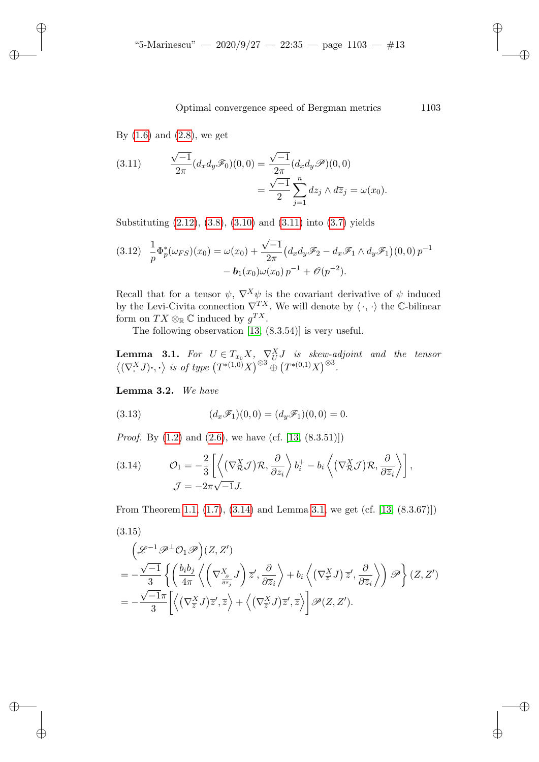<span id="page-12-0"></span>By  $(1.6)$  and  $(2.8)$ , we get

✐

✐

✐

✐

(3.11) 
$$
\frac{\sqrt{-1}}{2\pi} (d_x d_y \mathscr{F}_0)(0,0) = \frac{\sqrt{-1}}{2\pi} (d_x d_y \mathscr{P})(0,0) \n= \frac{\sqrt{-1}}{2} \sum_{j=1}^n dz_j \wedge d\overline{z}_j = \omega(x_0).
$$

<span id="page-12-6"></span>Substituting (2.12), (3.8), (3.10) and (3.11) into (3.7) yields

$$
(3.12) \frac{1}{p} \Phi_p^*(\omega_{FS})(x_0) = \omega(x_0) + \frac{\sqrt{-1}}{2\pi} \left( d_x d_y \mathcal{F}_2 - d_x \mathcal{F}_1 \wedge d_y \mathcal{F}_1 \right) (0,0) p^{-1} - \mathbf{b}_1(x_0) \omega(x_0) p^{-1} + \mathcal{O}(p^{-2}).
$$

<span id="page-12-2"></span>Recall that for a tensor  $\psi$ ,  $\nabla^X \psi$  is the covariant derivative of  $\psi$  induced by the Levi-Civita connection  $\nabla^{TX}$ . We will denote by  $\langle \cdot, \cdot \rangle$  the C-bilinear form on  $TX \otimes_{\mathbb{R}} \mathbb{C}$  induced by  $g^{TX}$ .

The following observation [13, (8.3.54)] is very useful.

<span id="page-12-5"></span><span id="page-12-4"></span>**Lemma 3.1.** For  $U \in T_{x_0} X$ ,  $\nabla^X_U J$  is skew-adjoint and the tensor  $\left\langle (\nabla^X \mathbf{J}) \cdot, \cdot \right\rangle$  is of type  $(T^{*(1,0)}X)^{\otimes 3} \stackrel{\sim}{\oplus} (T^{*(0,1)}X)^{\otimes 3}$ .

<span id="page-12-1"></span>L[emm](#page-5-1)a 3.[2.](#page-8-1) *We have*

(3.13) 
$$
(d_x \mathscr{F}_1)(0,0) = (d_y \mathscr{F}_1)(0,0) = 0.
$$

*Proof.* By (1.2) and (2.6), we have (cf. [13, (8.3.51)])

<span id="page-12-3"></span>(3.14) 
$$
\mathcal{O}_1 = -\frac{2}{3} \left[ \left\langle \left( \nabla^X_{\mathcal{R}} \mathcal{J} \right) \mathcal{R}, \frac{\partial}{\partial z_i} \right\rangle b_i^+ - b_i \left\langle \left( \nabla^X_{\mathcal{R}} \mathcal{J} \right) \mathcal{R}, \frac{\partial}{\partial \overline{z}_i} \right\rangle \right],
$$

$$
\mathcal{J} = -2\pi \sqrt{-1} J.
$$

From Theorem 1.1, (1.7), (3.14) and Lemma 3.1, we get (cf. [13, (8.3.67)])

(3.15)  
\n
$$
\left(\mathcal{L}^{-1}\mathcal{P}^{\perp}\mathcal{O}_{1}\mathcal{P}\right)(Z, Z')
$$
\n
$$
= -\frac{\sqrt{-1}}{3} \left\{ \left( \frac{b_{i}b_{j}}{4\pi} \left\langle \left( \nabla_{\frac{\partial}{\partial \overline{z}_{j}}}^{X} J \right) \overline{z}', \frac{\partial}{\partial \overline{z}_{i}} \right\rangle + b_{i} \left\langle \left( \nabla_{\overline{z}'}^{X} J \right) \overline{z}', \frac{\partial}{\partial \overline{z}_{i}} \right\rangle \right) \mathcal{P} \right\}(Z, Z')
$$
\n
$$
= -\frac{\sqrt{-1}\pi}{3} \left[ \left\langle \left( \nabla_{\overline{z}}^{X} J \right) \overline{z}', \overline{z} \right\rangle + \left\langle \left( \nabla_{\overline{z}'}^{X} J \right) \overline{z}', \overline{z} \right\rangle \right] \mathcal{P}(Z, Z').
$$

✐

✐

✐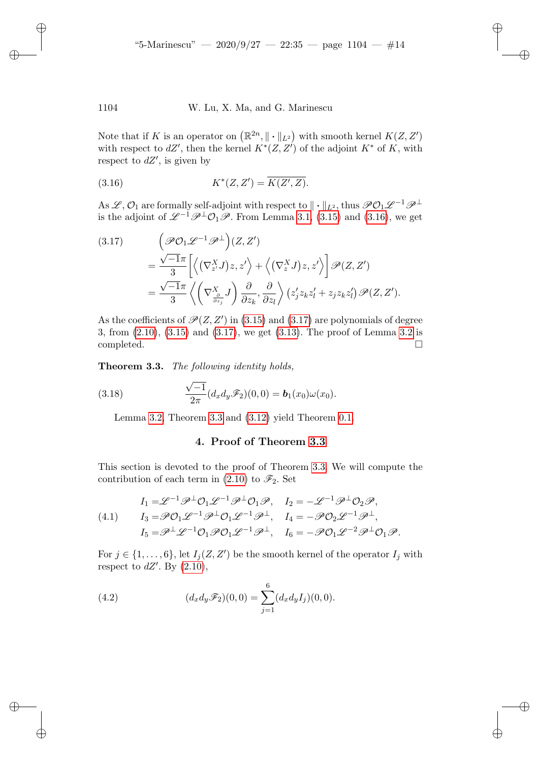✐

✐

✐

✐

#### 1104 W. Lu, X. Ma, and G. Marinescu

✐

✐

✐

✐

Note that if K is an operator on  $(\mathbb{R}^{2n}, \|\cdot\|_{L^2})$  with smooth kernel  $K(Z, Z')$ with respect to  $dZ'$ , then the kernel  $K^*(Z, Z')$  of the adjoint  $K^*$  of K, with respect to  $dZ'$ , is given by

<span id="page-13-2"></span>
$$
(3.16) \t K^*(Z, Z') = \overline{K(Z', Z)}.
$$

As  $\mathscr{L}, \mathcal{O}_1$  are formally self-adjoint with respect to  $\|\cdot\|_{L^2}$ , thus  $\mathscr{PO}_1\mathscr{L}^{-1}\mathscr{P}^\perp$ is the adjoint of  $\mathscr{L}^{-1}\mathscr{P}^{\perp}\mathcal{O}_1\mathscr{P}$ . From Lemma 3.1, (3.15) and (3.16), we get

$$
(3.17) \qquad \left(\mathscr{P}\mathcal{O}_1\mathscr{L}^{-1}\mathscr{P}^{\perp}\right)(Z,Z')
$$
  

$$
=\frac{\sqrt{-1}\pi}{3}\left[\left\langle(\nabla_{z'}^XJ)z,z'\right\rangle+\left\langle(\nabla_{z}^XJ)z,z'\right\rangle\right]\mathscr{P}(Z,Z')
$$
  

$$
=\frac{\sqrt{-1}\pi}{3}\left\langle\left(\nabla_{\frac{\partial}{\partial z_j}}^XJ\right)\frac{\partial}{\partial z_k},\frac{\partial}{\partial z_l}\right\rangle\left(z'_jz_kz'_l+z_jz_kz'_l\right)\mathscr{P}(Z,Z').
$$

<span id="page-13-1"></span>As the coefficients of  $\mathscr{P}(Z,Z')$  in  $(3.15)$  and  $(3.17)$  are polynomials of degree 3, from (2.10), (3.15) and (3.17), we get (3.13). The proof of Lemma 3.2 is completed.  $\Box$ 

T[heo](#page-12-5)rem 3.3. *[Th](#page-13-1)e foll[owing](#page-12-6) identity holds,*

<span id="page-13-0"></span>(3.18) 
$$
\frac{\sqrt{-1}}{2\pi} (d_x d_y \mathscr{F}_2)(0,0) = \mathbf{b}_1(x_0)\omega(x_0).
$$

Lemma 3.2, Th[eorem](#page-9-2) 3.3 and (3.12) [yie](#page-13-1)ld Theorem 0.1.

### 4. Proof of Theorem 3.3

<span id="page-13-3"></span>This section is devoted to the proof of Theorem 3.3. We will compute the contribution of each term in (2.10) to  $\mathscr{F}_2$ . Set

(4.1) 
$$
I_1 = \mathcal{L}^{-1} \mathcal{P}^{\perp} \mathcal{O}_1 \mathcal{L}^{-1} \mathcal{P}^{\perp} \mathcal{O}_1 \mathcal{P}, \quad I_2 = -\mathcal{L}^{-1} \mathcal{P}^{\perp} \mathcal{O}_2 \mathcal{P},
$$

$$
I_3 = \mathcal{P} \mathcal{O}_1 \mathcal{L}^{-1} \mathcal{P}^{\perp} \mathcal{O}_1 \mathcal{L}^{-1} \mathcal{P}^{\perp}, \quad I_4 = -\mathcal{P} \mathcal{O}_2 \mathcal{L}^{-1} \mathcal{P}^{\perp},
$$

$$
I_5 = \mathcal{P}^{\perp} \mathcal{L}^{-1} \mathcal{O}_1 \mathcal{P} \mathcal{O}_1 \mathcal{L}^{-1} \mathcal{P}^{\perp}, \quad I_6 = -\mathcal{P} \mathcal{O}_1 \mathcal{L}^{-2} \mathcal{P}^{\perp} \mathcal{O}_1 \mathcal{P}.
$$

For  $j \in \{1, \ldots, 6\}$ , let  $I_j(Z, Z')$  be the smooth kernel of the operator  $I_j$  with respect to  $dZ'$ . By  $(2.10)$ ,

(4.2) 
$$
(d_x d_y \mathscr{F}_2)(0,0) = \sum_{j=1}^{6} (d_x d_y I_j)(0,0).
$$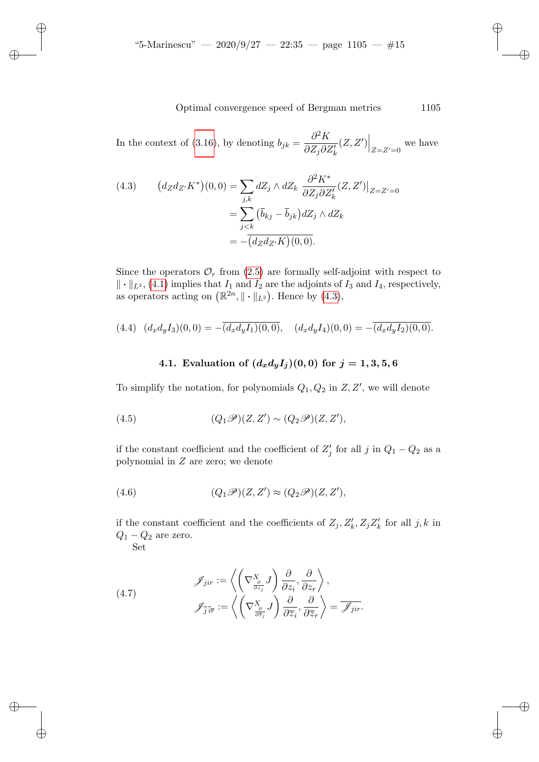<span id="page-14-0"></span>In the context of (3.16), by denoting  $b_{jk} = \frac{\partial^2 K}{\partial z \partial x^j}$  $\partial Z_j\partial Z'_k$  $(Z, Z')\Big|_{Z=Z'=0}$  we have

(4.3) 
$$
\left(d_Z d_{Z'} K^*\right)(0,0) = \sum_{j,k} dZ_j \wedge dZ_k \frac{\partial^2 K^*}{\partial Z_j \partial Z'_k} (Z, Z')\Big|_{Z=Z'=0}
$$

$$
= \sum_{j < k} \left(\overline{b}_{kj} - \overline{b}_{jk}\right) dZ_j \wedge dZ_k
$$

$$
= -\overline{\left(d_Z d_{Z'} K\right)(0,0)}.
$$

<span id="page-14-1"></span>Since the operators  $\mathcal{O}_r$  from (2.5) are formally self-adjoint with respect to  $\|\cdot\|_{L^2}$ , (4.1) implies that  $I_1$  and  $I_2$  are the adjoints of  $I_3$  and  $I_4$ , respectively, as operators acting on  $(\mathbb{R}^{2n}, \|\cdot\|_{L^2})$ . Hence by  $(4.3)$ ,

$$
(4.4) \quad (d_xd_yI_3)(0,0) = -\overline{(d_xd_yI_1)(0,0)}, \quad (d_xd_yI_4)(0,0) = -\overline{(d_xd_yI_2)(0,0)}.
$$

4.1. Evaluation of 
$$
(d_x d_y I_j)(0,0)
$$
 for  $j = 1,3,5,6$ 

To simplify the notation, for polynomials  $Q_1, Q_2$  in  $Z, Z'$ , we will denote

(4.5) 
$$
(Q_1 \mathscr{P})(Z,Z') \sim (Q_2 \mathscr{P})(Z,Z'),
$$

if the constant coefficient and the coefficient of  $Z'_{j}$  for all j in  $Q_{1} - Q_{2}$  as a polynomial in Z are zero; we denote

(4.6) 
$$
(Q_1 \mathscr{P})(Z,Z') \approx (Q_2 \mathscr{P})(Z,Z'),
$$

if the constant coefficient and the coefficients of  $Z_j, Z'_k, Z_j Z'_k$  for all  $j, k$  in  $Q_1 - Q_2$  are zero.

<span id="page-14-2"></span>Set

✐

✐

✐

✐

(4.7) 
$$
\mathscr{J}_{jir} := \left\langle \left( \nabla_{\frac{\partial}{\partial z_j}}^X J \right) \frac{\partial}{\partial z_i}, \frac{\partial}{\partial z_r} \right\rangle,
$$

$$
\mathscr{J}_{\overline{j} \,\overline{i} \overline{r}} := \left\langle \left( \nabla_{\frac{\partial}{\partial \overline{z}_j}}^X J \right) \frac{\partial}{\partial \overline{z}_i}, \frac{\partial}{\partial \overline{z}_r} \right\rangle = \overline{\mathscr{J}_{jir}}.
$$

✐

✐

✐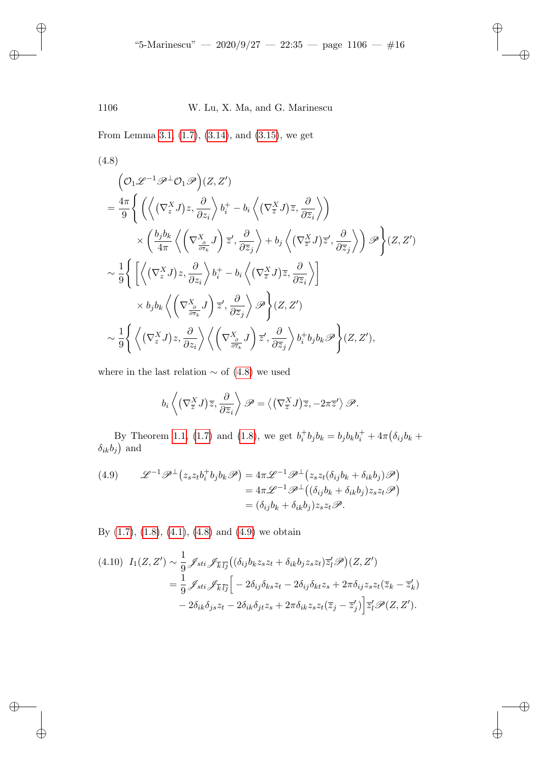<span id="page-15-0"></span>From Lemma 3.1, (1.7), (3.14), and (3.15), we get

✐

✐

✐

✐

(4.8)  
\n
$$
\left( \mathcal{O}_1 \mathscr{L}^{-1} \mathscr{P}^{\perp} \mathcal{O}_1 \mathscr{P} \right) (Z, Z')
$$
\n
$$
= \frac{4\pi}{9} \left\{ \left( \left\langle (\nabla_z^X J) z, \frac{\partial}{\partial z_i} \right\rangle b_i^+ - b_i \left\langle (\nabla_{\overline{z}}^X J) \overline{z}, \frac{\partial}{\partial \overline{z}_i} \right\rangle \right) \times \left( \frac{b_j b_k}{4\pi} \left\langle (\nabla_{\overline{z}}^X J) \overline{z}', \frac{\partial}{\partial \overline{z}_j} \right\rangle + b_j \left\langle (\nabla_{\overline{z}}^X J) \overline{z}', \frac{\partial}{\partial \overline{z}_j} \right\rangle \right) \mathscr{P} \right\} (Z, Z')
$$
\n
$$
\sim \frac{1}{9} \left\{ \left[ \left\langle (\nabla_z^X J) z, \frac{\partial}{\partial z_i} \right\rangle b_i^+ - b_i \left\langle (\nabla_{\overline{z}}^X J) \overline{z}, \frac{\partial}{\partial \overline{z}_i} \right\rangle \right] \times b_j b_k \left\langle (\nabla_{\overline{z}}^X J) \overline{z}', \frac{\partial}{\partial \overline{z}_j} \right\rangle \mathscr{P} \right\} (Z, Z')
$$
\n
$$
\sim \frac{1}{9} \left\{ \left\langle (\nabla_z^X J) z, \frac{\partial}{\partial z_i} J \right\rangle \overline{z}', \frac{\partial}{\partial \overline{z}_j} \right\rangle \mathscr{P} \right\} (Z, Z')
$$
\n
$$
\sim \frac{1}{9} \left\{ \left\langle (\nabla_z^X J) z, \frac{\partial}{\partial z_i} \right\rangle \left\langle (\nabla_{\frac{\partial}{\partial z_k}}^X J) \overline{z}', \frac{\partial}{\partial \overline{z}_j} \right\rangle b_i^+ b_j b_k \mathscr{P} \right\} (Z, Z'),
$$

wherei[n th](#page-5-2)e [last](#page-6-2) relati[on](#page-6-3)  $\sim$  of (4.8) we used

$$
b_i\left\langle \left(\nabla_{\overline{z}}^X J\right) \overline{z}, \frac{\partial}{\partial \overline{z}_i} \right\rangle \mathscr{P} = \left\langle \left(\nabla_{\overline{z}}^X J\right) \overline{z}, -2\pi \overline{z}' \right\rangle \mathscr{P}.
$$

<span id="page-15-1"></span>By Theorem 1.1, (1.7) and (1.8), we get  $b_i^+ b_j b_k = b_j b_k b_i^+ + 4\pi (\delta_{ij} b_k +$  $\delta_{ik}b_j$  and

(4.9) 
$$
\mathcal{L}^{-1}\mathcal{P}^{\perp}(z_s z_t b_i^+ b_j b_k \mathcal{P}) = 4\pi \mathcal{L}^{-1}\mathcal{P}^{\perp}(z_s z_t (\delta_{ij} b_k + \delta_{ik} b_j) \mathcal{P})
$$

$$
= 4\pi \mathcal{L}^{-1}\mathcal{P}^{\perp}((\delta_{ij} b_k + \delta_{ik} b_j) z_s z_t \mathcal{P})
$$

$$
= (\delta_{ij} b_k + \delta_{ik} b_j) z_s z_t \mathcal{P}.
$$

By  $(1.7)$ ,  $(1.8)$ ,  $(4.1)$ ,  $(4.8)$  and  $(4.9)$  we obtain

$$
(4.10) I_1(Z, Z') \sim \frac{1}{9} \mathcal{J}_{sti} \mathcal{J}_{\overline{k}\overline{l}\overline{j}} \left( (\delta_{ij} b_k z_s z_t + \delta_{ik} b_j z_s z_t) \overline{z'_i} \mathcal{P} \right) (Z, Z')
$$
  
= 
$$
\frac{1}{9} \mathcal{J}_{sti} \mathcal{J}_{\overline{k}\overline{l}\overline{j}} \left[ -2\delta_{ij} \delta_{ks} z_t - 2\delta_{ij} \delta_{kt} z_s + 2\pi \delta_{ij} z_s z_t (\overline{z}_k - \overline{z'_k}) - 2\delta_{ik} \delta_{js} z_t - 2\delta_{ik} \delta_{jt} z_s + 2\pi \delta_{ik} z_s z_t (\overline{z}_j - \overline{z'_j}) \right] \overline{z'_l} \mathcal{P}(Z, Z').
$$

✐

✐

✐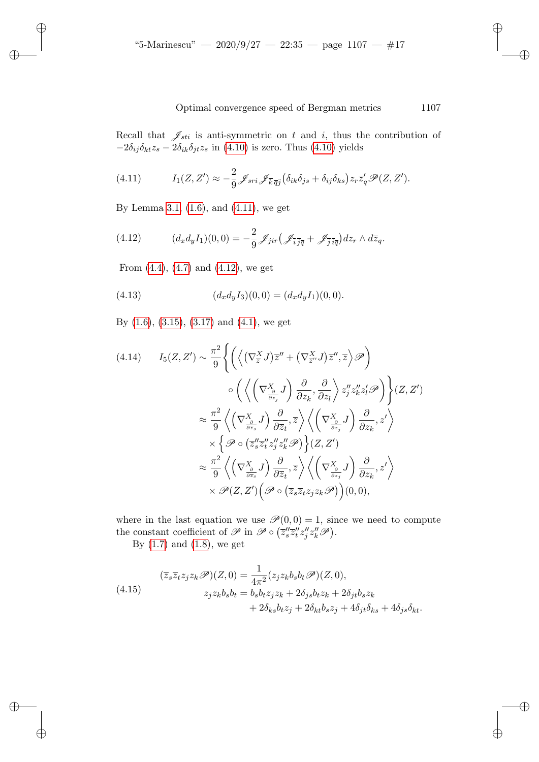<span id="page-16-0"></span>Recall that  $\mathscr{J}_{sti}$  is anti-symmetric on t and i, thus the contribution of  $-2\delta_{ij}\delta_{kt}z_s - 2\delta_{ik}\delta_{jt}z_s$  $-2\delta_{ij}\delta_{kt}z_s - 2\delta_{ik}\delta_{jt}z_s$  $-2\delta_{ij}\delta_{kt}z_s - 2\delta_{ik}\delta_{jt}z_s$  $-2\delta_{ij}\delta_{kt}z_s - 2\delta_{ik}\delta_{jt}z_s$  $-2\delta_{ij}\delta_{kt}z_s - 2\delta_{ik}\delta_{jt}z_s$  $-2\delta_{ij}\delta_{kt}z_s - 2\delta_{ik}\delta_{jt}z_s$  $-2\delta_{ij}\delta_{kt}z_s - 2\delta_{ik}\delta_{jt}z_s$  in (4.10) is zero. Thus (4.10) yields

<span id="page-16-1"></span>(4.11) 
$$
I_1(Z, Z') \approx -\frac{2}{9} \mathcal{J}_{sri} \mathcal{J}_{\overline{k}\,\overline{q}\overline{j}} \left( \delta_{ik} \delta_{js} + \delta_{ij} \delta_{ks} \right) z_r \overline{z}'_q \mathcal{P}(Z, Z').
$$

[B](#page-14-1)y [Lem](#page-14-2)ma 3.[1, \(1.](#page-16-1)6), and (4.11), we get

✐

✐

✐

✐

<span id="page-16-3"></span>(4.12) 
$$
(d_x d_y I_1)(0,0) = -\frac{2}{9} \mathcal{J}_{jir} \left( \mathcal{J}_{\overline{i}\overline{jq}} + \mathcal{J}_{\overline{j}\overline{iq}} \right) dz_r \wedge d\overline{z}_q.
$$

[From](#page-12-3)  $(4.4)$ ,  $(4.7)$  [and](#page-13-3)  $(4.12)$ , we get

(4.13) 
$$
(d_x d_y I_3)(0,0) = (d_x d_y I_1)(0,0).
$$

By (1.6), (3.15), (3.17) and (4.1), we get

$$
(4.14) \qquad I_5(Z, Z') \sim \frac{\pi^2}{9} \Biggl\{ \left( \left\langle \left( \nabla_{\overline{z}}^X J \right) \overline{z}'' + \left( \nabla_{\overline{z}''}^X J \right) \overline{z}'' , \overline{z} \right\rangle \mathscr{P} \right) \right. \\
\left. \circ \left( \left\langle \left( \nabla_{\frac{\partial}{\partial z_j}}^X J \right) \frac{\partial}{\partial z_k} , \frac{\partial}{\partial z_l} \right\rangle z_j'' z_k'' z_l' \mathscr{P} \right) \Biggr\} (Z, Z') \\
\approx \frac{\pi^2}{9} \left\langle \left( \nabla_{\frac{\partial}{\partial \overline{z}}}^X J \right) \frac{\partial}{\partial \overline{z}_t} , \overline{z} \right\rangle \left\langle \left( \nabla_{\frac{\partial}{\partial z_j}}^X J \right) \frac{\partial}{\partial z_k} , z' \right\rangle \\
\times \left\{ \mathscr{P} \circ \left( \overline{z}_s'' \overline{z}_l'' z_j'' z_k'' \mathscr{P} \right) \right\} (Z, Z') \\
\approx \frac{\pi^2}{9} \left\langle \left( \nabla_{\frac{\partial}{\partial \overline{z}_s}}^X J \right) \frac{\partial}{\partial \overline{z}_t} , \overline{z} \right\rangle \left\langle \left( \nabla_{\frac{\partial}{\partial z_j}}^X J \right) \frac{\partial}{\partial z_k} , z' \right\rangle \\
\times \mathscr{P} (Z, Z') \left( \mathscr{P} \circ \left( \overline{z}_s \overline{z}_t z_j z_k \mathscr{P} \right) \right) (0, 0),
$$

<span id="page-16-2"></span>where in the last equation we use  $\mathcal{P}(0, 0) = 1$ , since we need to compute the constant coefficient of  $\mathscr{P}$  in  $\mathscr{P} \circ (\overline{z}'_{s} \overline{z}'_{t} z''_{j} z''_{k} \mathscr{P})$ .

By  $(1.7)$  and  $(1.8)$ , we get

(4.15)  
\n
$$
(\overline{z}_s \overline{z}_t z_j z_k \mathscr{P})(Z,0) = \frac{1}{4\pi^2} (z_j z_k b_s b_t \mathscr{P})(Z,0),
$$
\n
$$
z_j z_k b_s b_t = b_s b_t z_j z_k + 2\delta_{js} b_t z_k + 2\delta_{jt} b_s z_k + 4\delta_{js} \delta_{kt}.
$$
\n
$$
+ 2\delta_{ks} b_t z_j + 2\delta_{kt} b_s z_j + 4\delta_{jt} \delta_{ks} + 4\delta_{js} \delta_{kt}.
$$

✐

✐

✐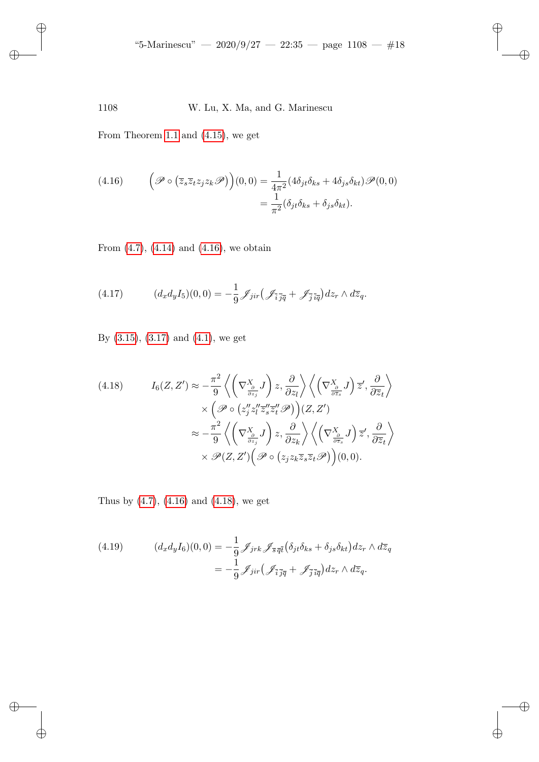<span id="page-17-0"></span>From Theorem 1.1 and (4.15), we get

✐

✐

 $\oplus$ 

✐

(4.16) 
$$
\left(\mathcal{P}\circ\left(\overline{z}_s\overline{z}_tz_jz_k\mathcal{P}\right)\right)(0,0)=\frac{1}{4\pi^2}(4\delta_{jt}\delta_{ks}+4\delta_{js}\delta_{kt})\mathcal{P}(0,0)
$$

$$
=\frac{1}{\pi^2}(\delta_{jt}\delta_{ks}+\delta_{js}\delta_{kt}).
$$

<span id="page-17-2"></span>From  $(4.7)$ ,  $(4.14)$  and  $(4.16)$ , we obtain

(4.17) 
$$
(d_x d_y I_5)(0,0) = -\frac{1}{9} \mathcal{J}_{jir} \left( \mathcal{J}_{\overline{i}\overline{jq}} + \mathcal{J}_{\overline{j}\overline{iq}} \right) dz_r \wedge d\overline{z}_q.
$$

<span id="page-17-1"></span>By (3.15), (3.17) and (4.1), we get

(4.18) 
$$
I_6(Z, Z') \approx -\frac{\pi^2}{9} \left\langle \left(\nabla_{\frac{\partial}{\partial z_j}}^X J\right) z, \frac{\partial}{\partial z_l} \right\rangle \left\langle \left(\nabla_{\frac{\partial}{\partial \overline{z}_s}}^X J\right) \overline{z}', \frac{\partial}{\partial \overline{z}_t} \right\rangle
$$

$$
\times \left(\mathscr{P} \circ \left(z''_j z''_l \overline{z}''_s \overline{z}''_t \mathscr{P}\right)\right) (Z, Z')
$$

$$
\approx -\frac{\pi^2}{9} \left\langle \left(\nabla_{\frac{\partial}{\partial z_j}}^X J\right) z, \frac{\partial}{\partial z_k} \right\rangle \left\langle \left(\nabla_{\frac{\partial}{\partial \overline{z}_s}}^X J\right) \overline{z}', \frac{\partial}{\partial \overline{z}_t} \right\rangle
$$

$$
\times \mathscr{P}(Z, Z') \left(\mathscr{P} \circ \left(z_j z_k \overline{z}_s \overline{z}_t \mathscr{P}\right)\right) (0, 0).
$$

<span id="page-17-3"></span>Thus by (4.7), (4.16) and (4.18), we get

(4.19) 
$$
(d_x d_y I_6)(0,0) = -\frac{1}{9} \mathcal{J}_{jrk} \mathcal{J}_{\overline{s}\overline{q}\overline{t}} (\delta_{jt}\delta_{ks} + \delta_{js}\delta_{kt}) dz_r \wedge d\overline{z}_q
$$

$$
= -\frac{1}{9} \mathcal{J}_{jir} (\mathcal{J}_{\overline{i}\overline{j}\overline{q}} + \mathcal{J}_{\overline{j}\overline{i}\overline{q}}) dz_r \wedge d\overline{z}_q.
$$

✐

✐

 $\oplus$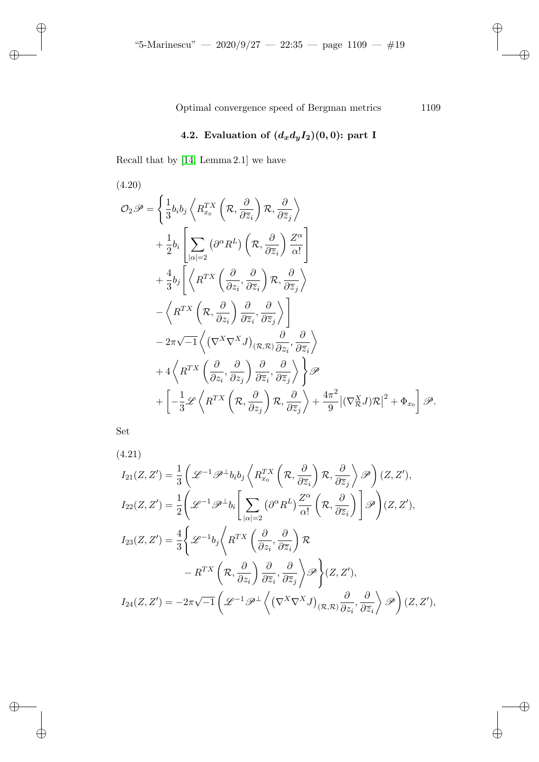# 4.2. Evaluation of  $(d_xd_yI_2)(0,0)$ : part I

Recall that by [14, Lemma 2.1] we have

(4.20)

✐

 $\bigoplus$ 

 $\oplus$ 

✐

$$
\mathcal{O}_{2}\mathscr{P} = \left\{\frac{1}{3}b_{i}b_{j}\left\langle R_{x_{0}}^{TX}\left(\mathcal{R},\frac{\partial}{\partial\overline{z}_{i}}\right)\mathcal{R},\frac{\partial}{\partial\overline{z}_{j}}\right\rangle\right.\left. + \frac{1}{2}b_{i}\left[\sum_{|\alpha|=2}\left(\partial^{\alpha}R^{L}\right)\left(\mathcal{R},\frac{\partial}{\partial\overline{z}_{i}}\right)\frac{Z^{\alpha}}{\alpha!}\right]\left. + \frac{4}{3}b_{j}\left[\left\langle R^{TX}\left(\frac{\partial}{\partial z_{i}},\frac{\partial}{\partial\overline{z}_{i}}\right)\mathcal{R},\frac{\partial}{\partial\overline{z}_{j}}\right\rangle\right.\left.\left.\left.\left\langle R^{TX}\left(\mathcal{R},\frac{\partial}{\partial z_{i}}\right)\frac{\partial}{\partial\overline{z}_{i}},\frac{\partial}{\partial\overline{z}_{j}}\right\rangle\right.\right]\left. - 2\pi\sqrt{-1}\left\langle \left(\nabla^{X}\nabla^{X}J\right)_{(\mathcal{R},\mathcal{R})}\frac{\partial}{\partial z_{i}},\frac{\partial}{\partial\overline{z}_{i}}\right\rangle\right.\left. + 4\left\langle R^{TX}\left(\frac{\partial}{\partial z_{i}},\frac{\partial}{\partial z_{j}}\right)\frac{\partial}{\partial\overline{z}_{i}},\frac{\partial}{\partial\overline{z}_{j}}\right\rangle\right\}\mathscr{P}\left. + \left[-\frac{1}{3}\mathscr{L}\left\langle R^{TX}\left(\mathcal{R},\frac{\partial}{\partial z_{j}}\right)\mathcal{R},\frac{\partial}{\partial\overline{z}_{j}}\right\rangle + \frac{4\pi^{2}}{9}\left|\left(\nabla_{\mathcal{R}}^{X}J\right)\mathcal{R}\right|^{2} + \Phi_{x_{0}}\right]\mathscr{P}.\right.
$$

<span id="page-18-0"></span>Set

(4.21)  
\n
$$
I_{21}(Z, Z') = \frac{1}{3} \left( \mathcal{L}^{-1} \mathcal{P}^{\perp} b_{i} b_{j} \left\langle R_{x_{0}}^{TX} \left( \mathcal{R}, \frac{\partial}{\partial \overline{z}_{i}} \right) \mathcal{R}, \frac{\partial}{\partial \overline{z}_{j}} \right\rangle \mathcal{P} \right) (Z, Z'),
$$
\n
$$
I_{22}(Z, Z') = \frac{1}{2} \left( \mathcal{L}^{-1} \mathcal{P}^{\perp} b_{i} \left[ \sum_{|\alpha|=2} (\partial^{\alpha} R^{L}) \frac{Z^{\alpha}}{\alpha!} \left( \mathcal{R}, \frac{\partial}{\partial \overline{z}_{i}} \right) \right] \mathcal{P} \right) (Z, Z'),
$$
\n
$$
I_{23}(Z, Z') = \frac{4}{3} \left\{ \mathcal{L}^{-1} b_{j} \left\langle R^{TX} \left( \frac{\partial}{\partial z_{i}}, \frac{\partial}{\partial \overline{z}_{i}} \right) \mathcal{R} \right. \\
\left. - R^{TX} \left( \mathcal{R}, \frac{\partial}{\partial z_{i}} \right) \frac{\partial}{\partial \overline{z}_{i}}, \frac{\partial}{\partial \overline{z}_{j}} \right\rangle \mathcal{P} \right\} (Z, Z'),
$$
\n
$$
I_{24}(Z, Z') = -2\pi \sqrt{-1} \left( \mathcal{L}^{-1} \mathcal{P}^{\perp} \left( (\nabla^{X} \nabla^{X} J)_{(\mathcal{R}, \mathcal{R})} \frac{\partial}{\partial z_{i}}, \frac{\partial}{\partial \overline{z}_{i}} \right\rangle \mathcal{P} \right) (Z, Z'),
$$

✐

✐

 $\oplus$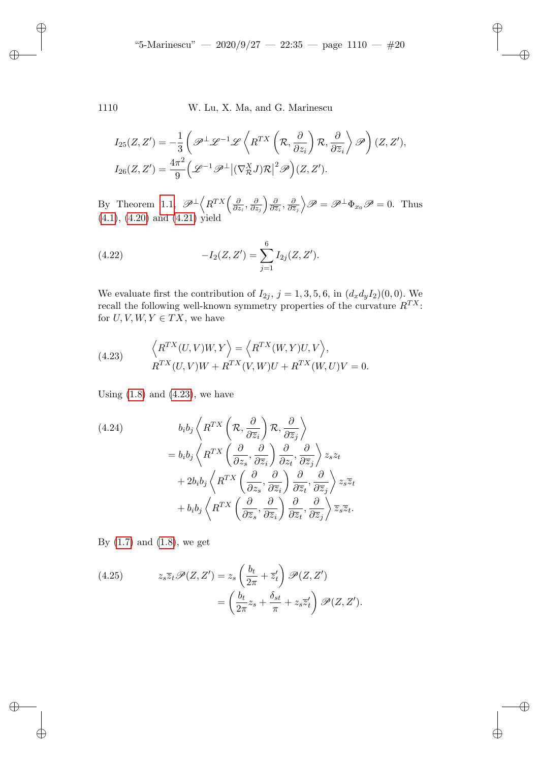✐

✐

✐

✐

$$
I_{25}(Z, Z') = -\frac{1}{3} \left( \mathcal{P}^{\perp} \mathcal{L}^{-1} \mathcal{L} \left\langle R^{TX} \left( \mathcal{R}, \frac{\partial}{\partial z_i} \right) \mathcal{R}, \frac{\partial}{\partial \overline{z}_i} \right\rangle \mathcal{P} \right) (Z, Z'),
$$
  

$$
I_{26}(Z, Z') = \frac{4\pi^2}{9} \left( \mathcal{L}^{-1} \mathcal{P}^{\perp} | (\nabla_{\mathcal{R}}^X J) \mathcal{R} |^2 \mathcal{P} \right) (Z, Z').
$$

By Theorem 1.1,  $\mathscr{P}^{\perp}\left\langle R^{TX}\left(\frac{\partial}{\partial z}\right)\right\rangle$  $\frac{\partial}{\partial z_i}, \frac{\partial}{\partial z}$  $\frac{\partial}{\partial z_j}\Big) \frac{\partial}{\partial \overline z}$  $\frac{\partial}{\partial \overline{z}_i}, \frac{\partial}{\partial \overline{z}_i}$  $\frac{\partial}{\partial \overline{z}_j}$   $\mathscr{P} = \mathscr{P}^{\perp} \Phi_{x_0} \mathscr{P} = 0$ . Thus (4.1), (4.20) and (4.21) yield

(4.22) 
$$
-I_2(Z,Z') = \sum_{j=1}^6 I_{2j}(Z,Z').
$$

<span id="page-19-0"></span>We evaluate first the contribution of  $I_{2j}$ ,  $j = 1, 3, 5, 6$ , in  $(d_x d_y I_2)(0, 0)$ . We recall the following well-known symmetry properties of the curvature  $R^{TX}$ : for  $U, V, W, Y \in TX$ , we have

(4.23) 
$$
\left\langle R^{TX}(U,V)W,Y\right\rangle = \left\langle R^{TX}(W,Y)U,V\right\rangle,
$$

$$
R^{TX}(U,V)W + R^{TX}(V,W)U + R^{TX}(W,U)V = 0.
$$

Using  $(1.8)$  and  $(4.23)$ , we have

(4.24)  
\n
$$
b_i b_j \left\langle R^{TX} \left( \mathcal{R}, \frac{\partial}{\partial \overline{z}_i} \right) \mathcal{R}, \frac{\partial}{\partial \overline{z}_j} \right\rangle
$$
\n
$$
= b_i b_j \left\langle R^{TX} \left( \frac{\partial}{\partial z_s}, \frac{\partial}{\partial \overline{z}_i} \right) \frac{\partial}{\partial z_t}, \frac{\partial}{\partial \overline{z}_j} \right\rangle z_s z_t
$$
\n
$$
+ 2b_i b_j \left\langle R^{TX} \left( \frac{\partial}{\partial z_s}, \frac{\partial}{\partial \overline{z}_i} \right) \frac{\partial}{\partial \overline{z}_t}, \frac{\partial}{\partial \overline{z}_j} \right\rangle z_s \overline{z}_t
$$
\n
$$
+ b_i b_j \left\langle R^{TX} \left( \frac{\partial}{\partial \overline{z}_s}, \frac{\partial}{\partial \overline{z}_i} \right) \frac{\partial}{\partial \overline{z}_t}, \frac{\partial}{\partial \overline{z}_j} \right\rangle \overline{z}_s \overline{z}_t.
$$

<span id="page-19-1"></span>By  $(1.7)$  and  $(1.8)$ , we get

(4.25) 
$$
z_s \overline{z}_t \mathscr{P}(Z, Z') = z_s \left(\frac{b_t}{2\pi} + \overline{z}'_t\right) \mathscr{P}(Z, Z') = \left(\frac{b_t}{2\pi} z_s + \frac{\delta_{st}}{\pi} + z_s \overline{z}'_t\right) \mathscr{P}(Z, Z').
$$

✐

✐

✐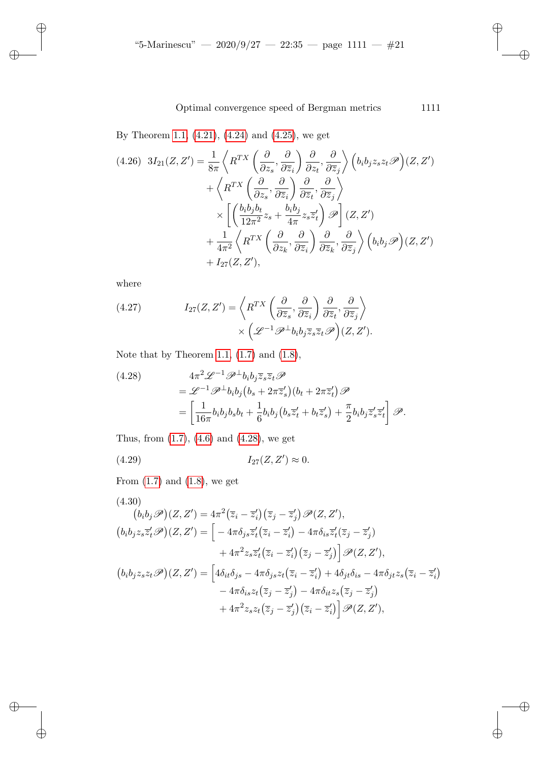By Theorem 1.1, (4.21), (4.24) and (4.25), we get

$$
(4.26) \ 3I_{21}(Z, Z') = \frac{1}{8\pi} \left\langle R^{TX} \left( \frac{\partial}{\partial z_s}, \frac{\partial}{\partial \overline{z}_i} \right) \frac{\partial}{\partial z_t}, \frac{\partial}{\partial \overline{z}_j} \right\rangle \left( b_i b_j z_s z_t \mathscr{P} \right) (Z, Z')
$$
  
+ 
$$
\left\langle R^{TX} \left( \frac{\partial}{\partial z_s}, \frac{\partial}{\partial \overline{z}_i} \right) \frac{\partial}{\partial \overline{z}_t}, \frac{\partial}{\partial \overline{z}_j} \right\rangle
$$
  

$$
\times \left[ \left( \frac{b_i b_j b_t}{12\pi^2} z_s + \frac{b_i b_j}{4\pi} z_s \overline{z}'_t \right) \mathscr{P} \right] (Z, Z')
$$
  
+ 
$$
\frac{1}{4\pi^2} \left\langle R^{TX} \left( \frac{\partial}{\partial z_k}, \frac{\partial}{\partial \overline{z}_i} \right) \frac{\partial}{\partial \overline{z}_k}, \frac{\partial}{\partial \overline{z}_j} \right\rangle \left( b_i b_j \mathscr{P} \right) (Z, Z')
$$
  
+ 
$$
I_{27}(Z, Z'),
$$

where

✐

✐

✐

✐

<span id="page-20-0"></span>(4.27) 
$$
I_{27}(Z, Z') = \left\langle R^{TX} \left( \frac{\partial}{\partial \overline{z}_s}, \frac{\partial}{\partial \overline{z}_i} \right) \frac{\partial}{\partial \overline{z}_t}, \frac{\partial}{\partial \overline{z}_j} \right\rangle \\ \times \left( \mathcal{L}^{-1} \mathcal{P}^{\perp} b_i b_j \overline{z}_s \overline{z}_t \mathcal{P} \right) (Z, Z').
$$

Note that by Theorem 1.1,  $(1.7)$  and  $(1.8)$ ,

<span id="page-20-2"></span>(4.28)  
\n
$$
4\pi^2 \mathcal{L}^{-1} \mathcal{P}^{\perp} b_i b_j \overline{z}_s \overline{z}_t \mathcal{P}
$$
\n
$$
= \mathcal{L}^{-1} \mathcal{P}^{\perp} b_i b_j (b_s + 2\pi \overline{z}'_s) (b_t + 2\pi \overline{z}'_t) \mathcal{P}
$$
\n
$$
= \left[ \frac{1}{16\pi} b_i b_j b_s b_t + \frac{1}{6} b_i b_j (b_s \overline{z}'_t + b_t \overline{z}'_s) + \frac{\pi}{2} b_i b_j \overline{z}'_s \overline{z}'_t \right] \mathcal{P}.
$$

<span id="page-20-1"></span>Thus, from (1.7), (4.6) and (4.28), we get

(4.29) 
$$
I_{27}(Z, Z') \approx 0.
$$

From  $(1.7)$  and  $(1.8)$ , we get

$$
(4.30)
$$
\n
$$
(b_i b_j \mathscr{P})(Z, Z') = 4\pi^2 (\overline{z}_i - \overline{z}_i') (\overline{z}_j - \overline{z}_j') \mathscr{P}(Z, Z'),
$$
\n
$$
(b_i b_j z_s \overline{z}_t' \mathscr{P})(Z, Z') = \left[ -4\pi \delta_{js} \overline{z}_t' (\overline{z}_i - \overline{z}_i') - 4\pi \delta_{is} \overline{z}_t' (\overline{z}_j - \overline{z}_j') + 4\pi^2 z_s \overline{z}_t' (\overline{z}_i - \overline{z}_i') (\overline{z}_j - \overline{z}_j') \right] \mathscr{P}(Z, Z'),
$$
\n
$$
(b_i b_j z_s z_t \mathscr{P})(Z, Z') = \left[ 4\delta_{it} \delta_{js} - 4\pi \delta_{js} z_t (\overline{z}_i - \overline{z}_i') + 4\delta_{jt} \delta_{is} - 4\pi \delta_{jt} z_s (\overline{z}_i - \overline{z}_i') - 4\pi \delta_{is} z_t (\overline{z}_j - \overline{z}_j') - 4\pi \delta_{it} z_s (\overline{z}_j - \overline{z}_j') + 4\pi^2 z_s z_t (\overline{z}_j - \overline{z}_j') (\overline{z}_i - \overline{z}_i') \right] \mathscr{P}(Z, Z'),
$$

✐

✐

 $\bigoplus$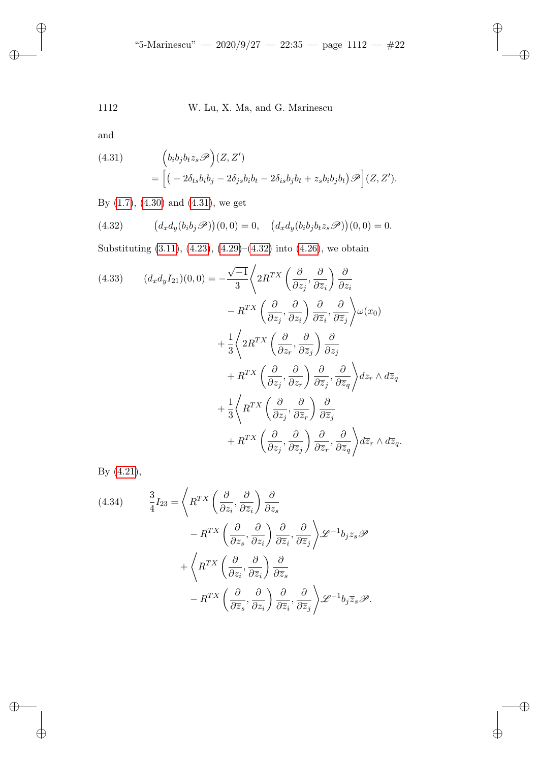<span id="page-21-0"></span>and

✐

 $\bigoplus$ 

 $\oplus$ 

✐

<span id="page-21-1"></span>(4.31) 
$$
\begin{aligned} \left(b_i b_j b_t z_s \mathscr{P}\right)(Z, Z')\\ &= \left[ \left(-2\delta_{ts} b_i b_j - 2\delta_{js} b_i b_t - 2\delta_{is} b_j b_t + z_s b_i b_j b_t\right) \mathscr{P}\right](Z, Z').\end{aligned}
$$

By [\(1.7\),](#page-12-0) ([4.30\)](#page-19-0) an[d \(4.3](#page-20-2)1[\), we](#page-21-1) get

(4.32) 
$$
(d_x d_y(b_i b_j \mathscr{P}))(0,0) = 0, \quad (d_x d_y(b_i b_j b_t z_s \mathscr{P}))(0,0) = 0.
$$

Substituting (3.11), (4.23), (4.29)–(4.32) into (4.26), we obtain

(4.33) 
$$
(d_x d_y I_{21})(0,0) = -\frac{\sqrt{-1}}{3} \left\langle 2R^{TX} \left( \frac{\partial}{\partial z_j}, \frac{\partial}{\partial \overline{z}_i} \right) \frac{\partial}{\partial z_i} \right\rangle
$$

$$
-R^{TX} \left( \frac{\partial}{\partial z_j}, \frac{\partial}{\partial z_i} \right) \frac{\partial}{\partial \overline{z}_i}, \frac{\partial}{\partial \overline{z}_j} \right\rangle \omega(x_0)
$$

$$
+ \frac{1}{3} \left\langle 2R^{TX} \left( \frac{\partial}{\partial z_r}, \frac{\partial}{\partial \overline{z}_j} \right) \frac{\partial}{\partial z_j} \right\}
$$

$$
+ R^{TX} \left( \frac{\partial}{\partial z_j}, \frac{\partial}{\partial z_r} \right) \frac{\partial}{\partial \overline{z}_j}, \frac{\partial}{\partial \overline{z}_q} \right\rangle dz_r \wedge d\overline{z}_q
$$

$$
+ \frac{1}{3} \left\langle R^{TX} \left( \frac{\partial}{\partial z_j}, \frac{\partial}{\partial \overline{z}_r} \right) \frac{\partial}{\partial \overline{z}_j} \right\}
$$

$$
+ R^{TX} \left( \frac{\partial}{\partial z_j}, \frac{\partial}{\partial \overline{z}_j} \right) \frac{\partial}{\partial \overline{z}_r}, \frac{\partial}{\partial \overline{z}_q} \right\rangle d\overline{z}_r \wedge d\overline{z}_q.
$$

<span id="page-21-2"></span>By (4.21),

(4.34) 
$$
\frac{3}{4}I_{23} = \left\langle R^{TX} \left( \frac{\partial}{\partial z_i}, \frac{\partial}{\partial \overline{z}_i} \right) \frac{\partial}{\partial z_s} - R^{TX} \left( \frac{\partial}{\partial z_s}, \frac{\partial}{\partial z_i} \right) \frac{\partial}{\partial \overline{z}_i}, \frac{\partial}{\partial \overline{z}_j} \right\rangle \mathscr{L}^{-1} b_j z_s \mathscr{P} + \left\langle R^{TX} \left( \frac{\partial}{\partial z_i}, \frac{\partial}{\partial \overline{z}_i} \right) \frac{\partial}{\partial \overline{z}_s} - R^{TX} \left( \frac{\partial}{\partial \overline{z}_s}, \frac{\partial}{\partial z_i} \right) \frac{\partial}{\partial \overline{z}_i}, \frac{\partial}{\partial \overline{z}_j} \right\rangle \mathscr{L}^{-1} b_j \overline{z}_s \mathscr{P}.
$$

✐

✐

 $\oplus$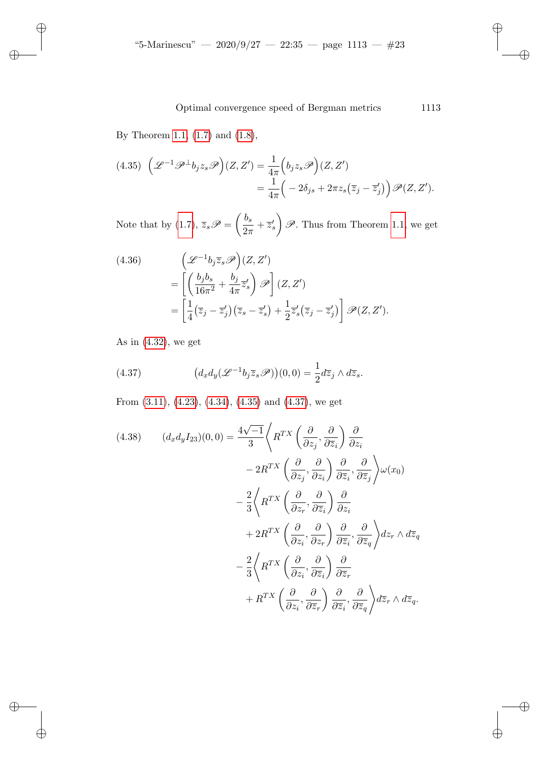<span id="page-22-0"></span>By Theorem 1.1, (1.7) and (1.8),

✐

✐

✐

✐

$$
(4.35)\ \left(\mathcal{L}^{-1}\mathcal{P}^{\perp}b_jz_s\mathcal{P}\right)(Z,Z') = \frac{1}{4\pi}\left(b_jz_s\mathcal{P}\right)(Z,Z')= \frac{1}{4\pi}\left(-2\delta_{js} + 2\pi z_s(\overline{z}_j - \overline{z}_j')\right)\mathcal{P}(Z,Z').
$$

Note that by (1.7),  $\overline{z}_s \mathscr{P} = \left(\frac{b_s}{2\pi}\right)$  $rac{0}{2\pi} + \overline{z}'_s$  $\mathscr{P}$ . Thus from Theorem 1.1, we get

(4.36)  
\n
$$
\left(\mathcal{L}^{-1}b_j\overline{z}_s\mathcal{P}\right)(Z,Z')
$$
\n
$$
=\left[\left(\frac{b_jb_s}{16\pi^2}+\frac{b_j}{4\pi}\overline{z}'_s\right)\mathcal{P}\right](Z,Z')
$$
\n
$$
=\left[\frac{1}{4}(\overline{z}_j-\overline{z}'_j)(\overline{z}_s-\overline{z}'_s)+\frac{1}{2}\overline{z}'_s(\overline{z}_j-\overline{z}'_j)\right]\mathcal{P}(Z,Z').
$$

[As](#page-12-0) in  $(4.32)$ , we ge[t](#page-22-0)

<span id="page-22-1"></span>(4.37) 
$$
\left(d_x d_y(\mathscr{L}^{-1} b_j \overline{z}_s \mathscr{P})\right)(0,0) = \frac{1}{2} d\overline{z}_j \wedge d\overline{z}_s.
$$

From (3.11), (4.23), (4.34), (4.35) and (4.37), we get

(4.38) 
$$
(d_x d_y I_{23})(0,0) = \frac{4\sqrt{-1}}{3} \left\langle R^{TX} \left(\frac{\partial}{\partial z_j}, \frac{\partial}{\partial \overline{z}_i}\right) \frac{\partial}{\partial z_i} \right\rangle
$$

$$
- 2R^{TX} \left(\frac{\partial}{\partial z_j}, \frac{\partial}{\partial z_i}\right) \frac{\partial}{\partial \overline{z}_i}, \frac{\partial}{\partial \overline{z}_j} \right\rangle \omega(x_0)
$$

$$
- \frac{2}{3} \left\langle R^{TX} \left(\frac{\partial}{\partial z_r}, \frac{\partial}{\partial \overline{z}_i}\right) \frac{\partial}{\partial z_i}
$$

$$
+ 2R^{TX} \left(\frac{\partial}{\partial z_i}, \frac{\partial}{\partial z_r}\right) \frac{\partial}{\partial \overline{z}_i}, \frac{\partial}{\partial \overline{z}_q} \right\rangle dz_r \wedge d\overline{z}_q
$$

$$
- \frac{2}{3} \left\langle R^{TX} \left(\frac{\partial}{\partial z_i}, \frac{\partial}{\partial \overline{z}_i}\right) \frac{\partial}{\partial \overline{z}_r}
$$

$$
+ R^{TX} \left(\frac{\partial}{\partial z_i}, \frac{\partial}{\partial \overline{z}_r}\right) \frac{\partial}{\partial \overline{z}_i}, \frac{\partial}{\partial \overline{z}_q} \right\rangle d\overline{z}_r \wedge d\overline{z}_q.
$$

✐

✐

✐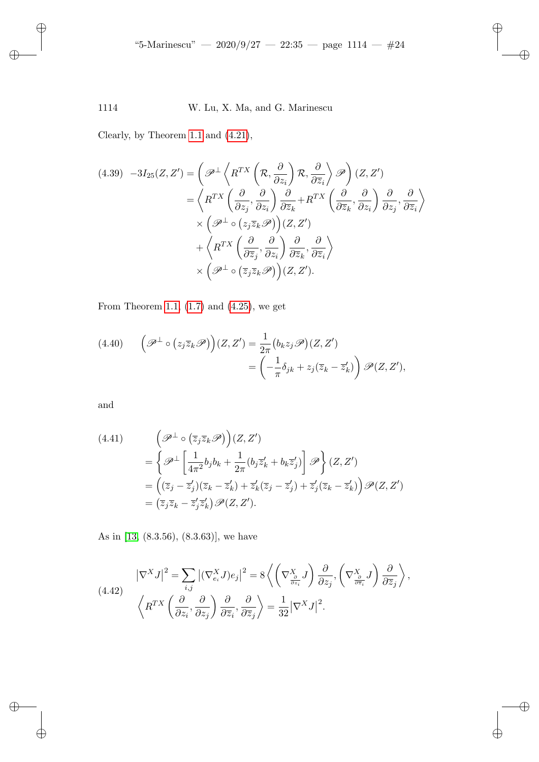Clearly, by Theorem 1.1 and (4.21),

$$
(4.39) \quad -3I_{25}(Z, Z') = \left(\mathcal{P}^{\perp}\left\langle R^{TX}\left(\mathcal{R}, \frac{\partial}{\partial z_{i}}\right)\mathcal{R}, \frac{\partial}{\partial \overline{z}_{i}}\right\rangle \mathcal{P}\right)(Z, Z') \\
= \left\langle R^{TX}\left(\frac{\partial}{\partial z_{j}}, \frac{\partial}{\partial z_{i}}\right)\frac{\partial}{\partial \overline{z}_{k}} + R^{TX}\left(\frac{\partial}{\partial \overline{z}_{k}}, \frac{\partial}{\partial z_{i}}\right)\frac{\partial}{\partial z_{j}}, \frac{\partial}{\partial \overline{z}_{i}}\right\rangle \\
\times \left(\mathcal{P}^{\perp} \circ (z_{j} \overline{z}_{k} \mathcal{P})\right)(Z, Z') \\
+ \left\langle R^{TX}\left(\frac{\partial}{\partial \overline{z}_{j}}, \frac{\partial}{\partial z_{i}}\right)\frac{\partial}{\partial \overline{z}_{k}}, \frac{\partial}{\partial \overline{z}_{i}}\right\rangle \\
\times \left(\mathcal{P}^{\perp} \circ (\overline{z}_{j} \overline{z}_{k} \mathcal{P})\right)(Z, Z').
$$

From Theorem 1.1,  $(1.7)$  and  $(4.25)$ , we get

(4.40) 
$$
\left(\mathscr{P}^{\perp} \circ (z_{j} \overline{z}_{k} \mathscr{P})\right)(Z, Z') = \frac{1}{2\pi} (b_{k} z_{j} \mathscr{P})(Z, Z') = \left(-\frac{1}{\pi} \delta_{jk} + z_{j} (\overline{z}_{k} - \overline{z}_{k}')\right) \mathscr{P}(Z, Z'),
$$

and

✐

 $\bigoplus$ 

 $\oplus$ 

✐

(4.41) 
$$
\begin{aligned}\n\left(\mathscr{P}^{\perp}\circ\left(\overline{z}_{j}\overline{z}_{k}\mathscr{P}\right)\right)(Z,Z')\\
&= \left\{\mathscr{P}^{\perp}\left[\frac{1}{4\pi^{2}}b_{j}b_{k} + \frac{1}{2\pi}(b_{j}\overline{z}_{k}^{\prime} + b_{k}\overline{z}_{j}^{\prime})\right]\mathscr{P}\right\}(Z,Z')\\
&= \left((\overline{z}_{j} - \overline{z}_{j}^{\prime})(\overline{z}_{k} - \overline{z}_{k}^{\prime}) + \overline{z}_{k}^{\prime}(\overline{z}_{j} - \overline{z}_{j}^{\prime}) + \overline{z}_{j}^{\prime}(\overline{z}_{k} - \overline{z}_{k}^{\prime})\right)\mathscr{P}(Z,Z')\\
&= (\overline{z}_{j}\overline{z}_{k} - \overline{z}_{j}^{\prime}\overline{z}_{k}^{\prime})\mathscr{P}(Z,Z').\n\end{aligned}
$$

<span id="page-23-0"></span>As in [13, (8.3.56), (8.3.63)], we have

(4.42) 
$$
\left|\nabla^X J\right|^2 = \sum_{i,j} \left| (\nabla^X_{e_i} J)e_j \right|^2 = 8 \left\langle \left(\nabla^X_{\frac{\partial}{\partial z_i}} J\right) \frac{\partial}{\partial z_j}, \left(\nabla^X_{\frac{\partial}{\partial \overline{z}_i}} J\right) \frac{\partial}{\partial \overline{z}_j} \right\rangle,
$$

$$
\left\langle R^{TX} \left(\frac{\partial}{\partial z_i}, \frac{\partial}{\partial z_j}\right) \frac{\partial}{\partial \overline{z}_i}, \frac{\partial}{\partial \overline{z}_j} \right\rangle = \frac{1}{32} |\nabla^X J|^2.
$$

✐

✐

 $\oplus$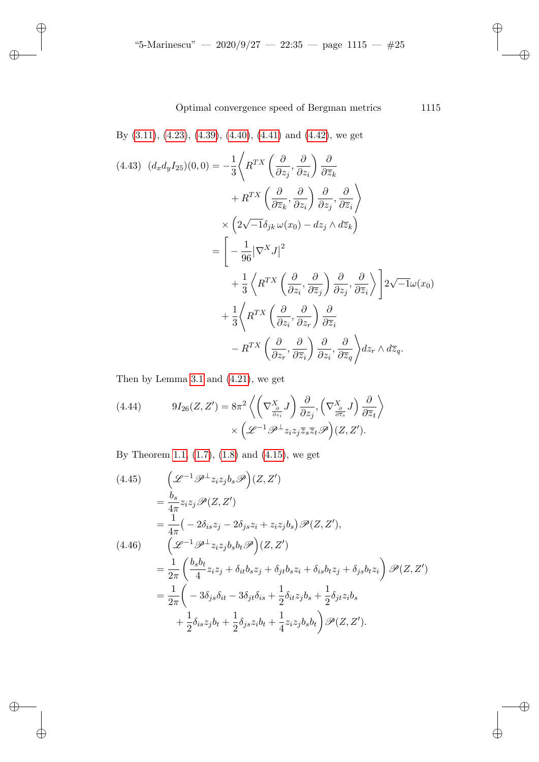<span id="page-24-0"></span>By (3.11), (4.23), (4.39), (4.40), (4.41) and (4.42), we get

✐

✐

 $\oplus$ 

✐

$$
(4.43) \quad (d_x d_y I_{25})(0,0) = -\frac{1}{3} \left\langle R^{TX} \left( \frac{\partial}{\partial z_j}, \frac{\partial}{\partial z_i} \right) \frac{\partial}{\partial \overline{z}_k} \right\rangle
$$
  

$$
+ R^{TX} \left( \frac{\partial}{\partial \overline{z}_k}, \frac{\partial}{\partial z_i} \right) \frac{\partial}{\partial z_j}, \frac{\partial}{\partial \overline{z}_i} \right\rangle
$$
  

$$
\times \left( 2\sqrt{-1} \delta_{jk} \omega(x_0) - dz_j \wedge d\overline{z}_k \right)
$$
  

$$
= \left[ -\frac{1}{96} |\nabla^X J|^2
$$
  

$$
+ \frac{1}{3} \left\langle R^{TX} \left( \frac{\partial}{\partial z_i}, \frac{\partial}{\partial \overline{z}_j} \right) \frac{\partial}{\partial z_j}, \frac{\partial}{\partial \overline{z}_i} \right\rangle \right] 2\sqrt{-1} \omega(x_0)
$$
  

$$
+ \frac{1}{3} \left\langle R^{TX} \left( \frac{\partial}{\partial z_i}, \frac{\partial}{\partial z_r} \right) \frac{\partial}{\partial \overline{z}_i}
$$
  

$$
- R^{TX} \left( \frac{\partial}{\partial z_r}, \frac{\partial}{\partial \overline{z}_i} \right) \frac{\partial}{\partial z_i}, \frac{\partial}{\partial \overline{z}_j} \right\rangle dz_r \wedge d\overline{z}_q.
$$

Then by Lemma 3.1 and (4.21), we get

(4.44) 
$$
9I_{26}(Z, Z') = 8\pi^2 \left\langle \left(\nabla_{\frac{\partial}{\partial z_i}}^X J\right) \frac{\partial}{\partial z_j}, \left(\nabla_{\frac{\partial}{\partial \overline{z}_s}}^X J\right) \frac{\partial}{\partial \overline{z}_t} \right\rangle \times \left(\mathscr{L}^{-1} \mathscr{P}^\perp z_i z_j \overline{z}_s \overline{z}_t \mathscr{P}\right)(Z, Z').
$$

By Theorem 1.1, (1.7), (1.8) and (4.15), we get

$$
(4.45) \qquad \left(\mathcal{L}^{-1}\mathcal{P}^{\perp}z_{i}z_{j}b_{s}\mathcal{P}\right)(Z,Z')
$$
\n
$$
= \frac{b_{s}}{4\pi}z_{i}z_{j}\mathcal{P}(Z,Z')
$$
\n
$$
= \frac{1}{4\pi}\left(-2\delta_{is}z_{j} - 2\delta_{js}z_{i} + z_{i}z_{j}b_{s}\right)\mathcal{P}(Z,Z'),
$$
\n
$$
(4.46) \qquad \left(\mathcal{L}^{-1}\mathcal{P}^{\perp}z_{i}z_{j}b_{s}b_{t}\mathcal{P}\right)(Z,Z')
$$
\n
$$
= \frac{1}{2\pi}\left(\frac{b_{s}b_{t}}{4}z_{i}z_{j} + \delta_{it}b_{s}z_{j} + \delta_{jt}b_{s}z_{i} + \delta_{is}b_{t}z_{j} + \delta_{js}b_{t}z_{i}\right)\mathcal{P}(Z,Z')
$$
\n
$$
= \frac{1}{2\pi}\left(-3\delta_{js}\delta_{it} - 3\delta_{jt}\delta_{is} + \frac{1}{2}\delta_{it}z_{j}b_{s} + \frac{1}{2}\delta_{jt}z_{i}b_{s}
$$
\n
$$
+ \frac{1}{2}\delta_{is}z_{j}b_{t} + \frac{1}{2}\delta_{js}z_{i}b_{t} + \frac{1}{4}z_{i}z_{j}b_{s}b_{t}\right)\mathcal{P}(Z,Z').
$$

✐

✐

 $\bigoplus$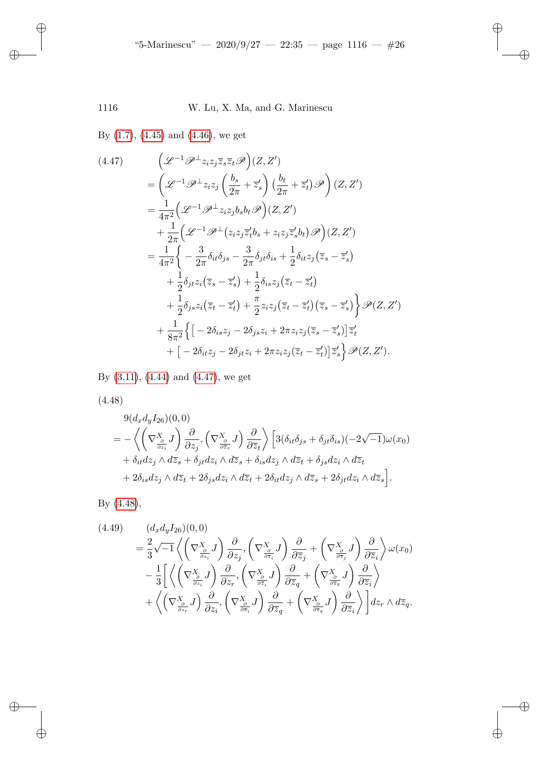<span id="page-25-0"></span>By (1.7), (4.45) and (4.46), we get

$$
(4.47) \qquad \left(\mathcal{L}^{-1}\mathcal{P}^{\perp}z_{i}z_{j}\overline{z}_{s}\overline{z}_{t}\mathcal{P}\right)(Z,Z')
$$
\n
$$
= \left(\mathcal{L}^{-1}\mathcal{P}^{\perp}z_{i}z_{j}\left(\frac{b_{s}}{2\pi}+\overline{z}_{s}'\right)\left(\frac{b_{t}}{2\pi}+\overline{z}_{t}'\right)\mathcal{P}\right)(Z,Z')
$$
\n
$$
= \frac{1}{4\pi^{2}}\left(\mathcal{L}^{-1}\mathcal{P}^{\perp}z_{i}z_{j}b_{s}b_{t}\mathcal{P}\right)(Z,Z')
$$
\n
$$
+ \frac{1}{2\pi}\left(\mathcal{L}^{-1}\mathcal{P}^{\perp}(z_{i}z_{j}\overline{z}_{t}'b_{s}+z_{i}z_{j}\overline{z}_{s}'b_{t})\mathcal{P}\right)(Z,Z')
$$
\n
$$
= \frac{1}{4\pi^{2}}\left\{-\frac{3}{2\pi}\delta_{it}\delta_{js}-\frac{3}{2\pi}\delta_{jt}\delta_{is}+\frac{1}{2}\delta_{it}z_{j}\left(\overline{z}_{s}-\overline{z}_{s}'\right)
$$
\n
$$
+ \frac{1}{2}\delta_{jt}z_{i}\left(\overline{z}_{s}-\overline{z}_{s}'\right)+\frac{1}{2}\delta_{is}z_{j}\left(\overline{z}_{t}-\overline{z}_{t}'\right)
$$
\n
$$
+ \frac{1}{2}\delta_{js}z_{i}\left(\overline{z}_{t}-\overline{z}_{t}'\right)+\frac{\pi}{2}z_{i}z_{j}\left(\overline{z}_{t}-\overline{z}_{t}'\right)\left(\overline{z}_{s}-\overline{z}_{s}'\right)\right\}\mathcal{P}(Z,Z')
$$
\n
$$
+ \frac{1}{8\pi^{2}}\left\{\left[-2\delta_{is}z_{j}-2\delta_{js}z_{i}+2\pi z_{i}z_{j}\left(\overline{z}_{s}-\overline{z}_{s}'\right)\right]\overline{z}_{t}' + \left[-2\delta_{it}z_{j}-2\delta_{jt}z_{i}+2\pi z_{i}z_{j}\left(\overline{z}_{t}-\overline{z}_{t}'\right)\right]\overline{z}_{s}'\right\}
$$

By (3.11), (4.44) and (4.47), we get

(4.48)

✐

 $\overline{a}$ 

 $\oplus$ 

 $\bigoplus$ 

$$
9(d_xd_yI_{26})(0,0)
$$
  
=  $-\left\langle \left(\nabla_{\frac{\partial}{\partial z_i}}^X J\right) \frac{\partial}{\partial z_j}, \left(\nabla_{\frac{\partial}{\partial \overline{z}_s}}^X J\right) \frac{\partial}{\partial \overline{z}_t} \right\rangle \left[3(\delta_{it}\delta_{js} + \delta_{jt}\delta_{is})(-2\sqrt{-1})\omega(x_0) + \delta_{it}dz_j \wedge d\overline{z}_s + \delta_{jt}dz_i \wedge d\overline{z}_s + \delta_{is}dz_j \wedge d\overline{z}_t + \delta_{js}dz_i \wedge d\overline{z}_t + 2\delta_{is}dz_j \wedge d\overline{z}_t + 2\delta_{is}dz_j \wedge d\overline{z}_s + 2\delta_{jt}dz_i \wedge d\overline{z}_s\right].$ 

By (4.48),

$$
(4.49) \qquad (d_x d_y I_{26})(0,0)
$$
\n
$$
= \frac{2}{3} \sqrt{-1} \left\langle \left(\nabla \frac{x}{\frac{\partial}{\partial z_i}} J\right) \frac{\partial}{\partial z_j}, \left(\nabla \frac{x}{\frac{\partial}{\partial \overline{z}_i}} J\right) \frac{\partial}{\partial \overline{z}_j} + \left(\nabla \frac{x}{\frac{\partial}{\partial \overline{z}_j}} J\right) \frac{\partial}{\partial \overline{z}_i} \right\rangle \omega(x_0)
$$
\n
$$
- \frac{1}{3} \left[ \left\langle \left(\nabla \frac{x}{\frac{\partial}{\partial z_i}} J\right) \frac{\partial}{\partial z_r}, \left(\nabla \frac{x}{\frac{\partial}{\partial \overline{z}_i}} J\right) \frac{\partial}{\partial \overline{z}_q} + \left(\nabla \frac{x}{\frac{\partial}{\partial \overline{z}_i}} J\right) \frac{\partial}{\partial \overline{z}_i} \right\rangle \right.
$$
\n
$$
+ \left\langle \left(\nabla \frac{x}{\frac{\partial}{\partial z_r}} J\right) \frac{\partial}{\partial z_i}, \left(\nabla \frac{x}{\frac{\partial}{\partial \overline{z}_i}} J\right) \frac{\partial}{\partial \overline{z}_q} + \left(\nabla \frac{x}{\frac{\partial}{\partial \overline{z}_q}} J\right) \frac{\partial}{\partial \overline{z}_i} \right\rangle \right] dz_r \wedge d\overline{z}_q.
$$

✐

✐

 $\oplus$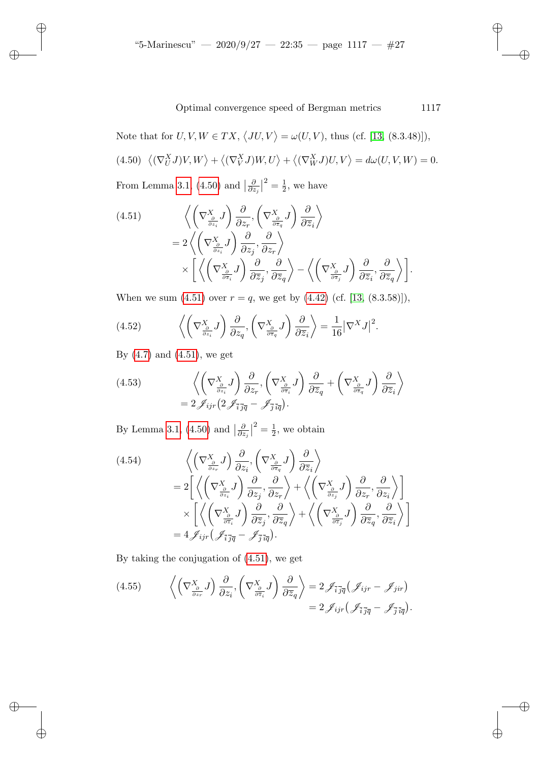<span id="page-26-1"></span><span id="page-26-0"></span>Not[e tha](#page-12-2)t [for](#page-26-0)  $U, V, W \in TX$ ,  $\langle JU, V \rangle = \omega(U, V)$ , thus (cf. [13, (8.3.48)]),  $(4.50) \langle (\nabla_U^X J) V, W \rangle + \langle (\nabla_V^X J) W, U \rangle + \langle (\nabla_W^X J) U, V \rangle = d\omega(U, V, W) = 0.$ From Lemma 3.1, (4.50) and  $\frac{\delta}{\partial z}$  $\frac{\partial}{\partial z_j}\big|^2=\frac{1}{2}$  $\frac{1}{2}$ , we have

(4.51) 
$$
\left\langle \left(\nabla_{\frac{\partial}{\partial z_i}}^X J\right) \frac{\partial}{\partial z_r}, \left(\nabla_{\frac{\partial}{\partial \overline{z_i}}}^X J\right) \frac{\partial}{\partial \overline{z_i}} \right\rangle
$$

$$
= 2 \left\langle \left(\nabla_{\frac{\partial}{\partial z_i}}^X J\right) \frac{\partial}{\partial z_j}, \frac{\partial}{\partial z_r} \right\rangle
$$

$$
\times \left[ \left\langle \left(\nabla_{\frac{\partial}{\partial \overline{z_i}}}^X J\right) \frac{\partial}{\partial \overline{z_j}}, \frac{\partial}{\partial \overline{z_q}} \right\rangle - \left\langle \left(\nabla_{\frac{\partial}{\partial \overline{z_j}}}^X J\right) \frac{\partial}{\partial \overline{z_i}}, \frac{\partial}{\partial \overline{z_q}} \right\rangle \right].
$$

<span id="page-26-2"></span>Whe[n we](#page-26-1) sum  $(4.51)$  over  $r = q$ , we get by  $(4.42)$  (cf. [13,  $(8.3.58)$ ]),

<span id="page-26-3"></span>(4.52) 
$$
\left\langle \left(\nabla_{\frac{\partial}{\partial z_i}}^X J\right) \frac{\partial}{\partial z_q}, \left(\nabla_{\frac{\partial}{\partial \overline{z}_q}}^X J\right) \frac{\partial}{\partial \overline{z}_i} \right\rangle = \frac{1}{16} |\nabla^X J|^2.
$$

By  $(4.7)$  and  $(4.51)$ , we get

✐

✐

✐

✐

<span id="page-26-4"></span>(4.53) 
$$
\left\langle \left(\nabla_{\frac{\partial}{\partial z_i}}^X J\right) \frac{\partial}{\partial z_r}, \left(\nabla_{\frac{\partial}{\partial \overline{z}_i}}^X J\right) \frac{\partial}{\partial \overline{z}_q} + \left(\nabla_{\frac{\partial}{\partial \overline{z}_q}}^X J\right) \frac{\partial}{\partial \overline{z}_i} \right\rangle
$$

$$
= 2 \mathscr{J}_{ijr} \left(2 \mathscr{J}_{\overline{i} \overline{j} \overline{q}} - \mathscr{J}_{\overline{j} \overline{i} \overline{q}}\right).
$$

By Lemma 3.1, (4.50) and  $\frac{\delta}{\partial z}$  $\frac{\partial}{\partial z_j}\big|^2=\frac{1}{2}$  $\frac{1}{2}$ , we obtain

(4.54)  
\n
$$
\begin{aligned}\n&\left\langle \left(\nabla_{\frac{\partial}{\partial z_r}}^X J\right) \frac{\partial}{\partial z_i}, \left(\nabla_{\frac{\partial}{\partial \overline{z}_q}}^X J\right) \frac{\partial}{\partial \overline{z}_i} \right\rangle \\
&= 2 \left[ \left\langle \left(\nabla_{\frac{\partial}{\partial z_i}}^X J\right) \frac{\partial}{\partial z_j}, \frac{\partial}{\partial z_r} \right\rangle + \left\langle \left(\nabla_{\frac{\partial}{\partial z_j}}^X J\right) \frac{\partial}{\partial z_r}, \frac{\partial}{\partial z_i} \right\rangle \right] \\
&\times \left[ \left\langle \left(\nabla_{\frac{\partial}{\partial \overline{z}_i}}^X J\right) \frac{\partial}{\partial \overline{z}_j}, \frac{\partial}{\partial \overline{z}_q} \right\rangle + \left\langle \left(\nabla_{\frac{\partial}{\partial \overline{z}_j}}^X J\right) \frac{\partial}{\partial \overline{z}_q}, \frac{\partial}{\partial \overline{z}_i} \right\rangle \right] \\
&= 4 \mathcal{J}_{ijr} \left( \mathcal{J}_{\overline{i}, \overline{j}\overline{q}} - \mathcal{J}_{\overline{j}, \overline{i}\overline{q}} \right).\n\end{aligned}
$$

<span id="page-26-5"></span>By taking the conjugation of (4.51), we get

(4.55) 
$$
\left\langle \left( \nabla_{\frac{\partial}{\partial z_r}}^X J \right) \frac{\partial}{\partial z_i}, \left( \nabla_{\frac{\partial}{\partial \overline{z}_i}}^X J \right) \frac{\partial}{\partial \overline{z}_q} \right\rangle = 2 \mathscr{J}_{\overline{i} \overline{j} \overline{q}} (\mathscr{J}_{ijr} - \mathscr{J}_{jir})
$$

$$
= 2 \mathscr{J}_{ijr} (\mathscr{J}_{\overline{i} \overline{j} \overline{q}} - \mathscr{J}_{\overline{j} \overline{i} \overline{q}}).
$$

✐

✐

✐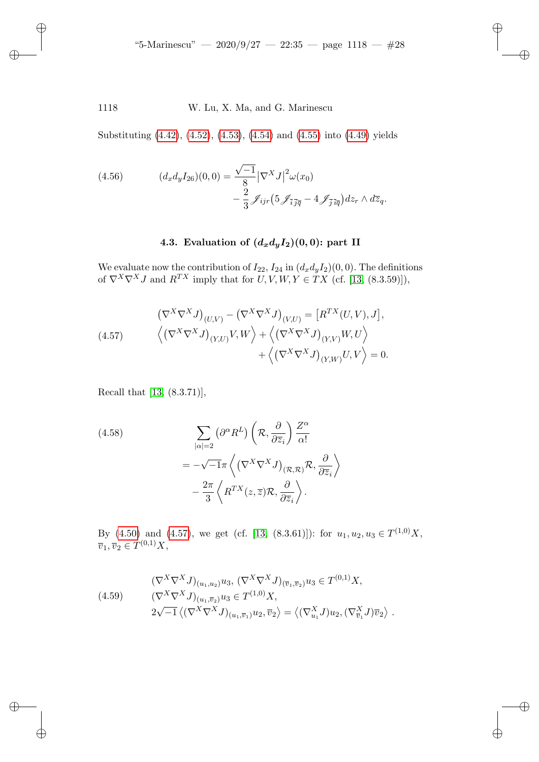<span id="page-27-1"></span>1118 W. Lu, X. Ma, and G. Marinescu

Substituting (4.42), (4.52), (4.53), (4.54) and (4.55) into (4.49) yields

(4.56) 
$$
(d_x d_y I_{26})(0,0) = \frac{\sqrt{-1}}{8} |\nabla^X J|^2 \omega(x_0) - \frac{2}{3} \mathcal{J}_{ijr} (5 \mathcal{J}_{\overline{i} \overline{j} \overline{q}} - 4 \mathcal{J}_{\overline{j} \overline{i} \overline{q}}) dz_r \wedge d\overline{z}_q.
$$

# 4.3. Evaluation of  $(d_x d_y I_2)(0, 0)$ : part II

We evaluate now the contribution of  $I_{22}$ ,  $I_{24}$  in  $(d_x d_y I_2)(0, 0)$ . The definitions of  $\nabla^X \nabla^X J$  and  $R^{TX}$  imply that for  $U, V, W, Y \in TX$  (cf. [13, (8.3.59)]),

(4.57) 
$$
(\nabla^{X} \nabla^{X} J)_{(U,V)} - (\nabla^{X} \nabla^{X} J)_{(V,U)} = [R^{TX}(U,V), J],
$$

$$
\langle (\nabla^{X} \nabla^{X} J)_{(Y,U)} V, W \rangle + \langle (\nabla^{X} \nabla^{X} J)_{(Y,V)} W, U \rangle
$$

$$
+ \langle (\nabla^{X} \nabla^{X} J)_{(Y,W)} U, V \rangle = 0.
$$

Recall that [13, (8.3.71)],

✐

✐

✐

✐

(4.58)  
\n
$$
\sum_{|\alpha|=2} (\partial^{\alpha} R^{L}) \left( \mathcal{R}, \frac{\partial}{\partial \overline{z}_{i}} \right) \frac{Z^{\alpha}}{\alpha!}
$$
\n
$$
= -\sqrt{-1} \pi \left\langle \left( \nabla^{X} \nabla^{X} J \right)_{(\mathcal{R}, \mathcal{R})} \mathcal{R}, \frac{\partial}{\partial \overline{z}_{i}} \right\rangle
$$
\n
$$
- \frac{2\pi}{3} \left\langle R^{TX}(z, \overline{z}) \mathcal{R}, \frac{\partial}{\partial \overline{z}_{i}} \right\rangle.
$$

<span id="page-27-0"></span>By  $(4.50)$  and  $(4.57)$ , we get (cf. [13,  $(8.3.61)$ ]): for  $u_1, u_2, u_3 \in T^{(1,0)}X$ ,  $\overline{v}_1, \overline{v}_2 \in T^{(0,1)}X,$ 

$$
(\nabla^{X} \nabla^{X} J)_{(u_1, u_2)} u_3, \, (\nabla^{X} \nabla^{X} J)_{(\overline{v}_1, \overline{v}_2)} u_3 \in T^{(0,1)} X,
$$
\n
$$
(\nabla^{X} \nabla^{X} J)_{(u_1, \overline{v}_2)} u_3 \in T^{(1,0)} X,
$$
\n
$$
2\sqrt{-1} \left\langle (\nabla^{X} \nabla^{X} J)_{(u_1, \overline{v}_1)} u_2, \overline{v}_2 \right\rangle = \left\langle (\nabla^{X}_{u_1} J) u_2, (\nabla^{X}_{\overline{v}_1} J) \overline{v}_2 \right\rangle.
$$

✐

✐

✐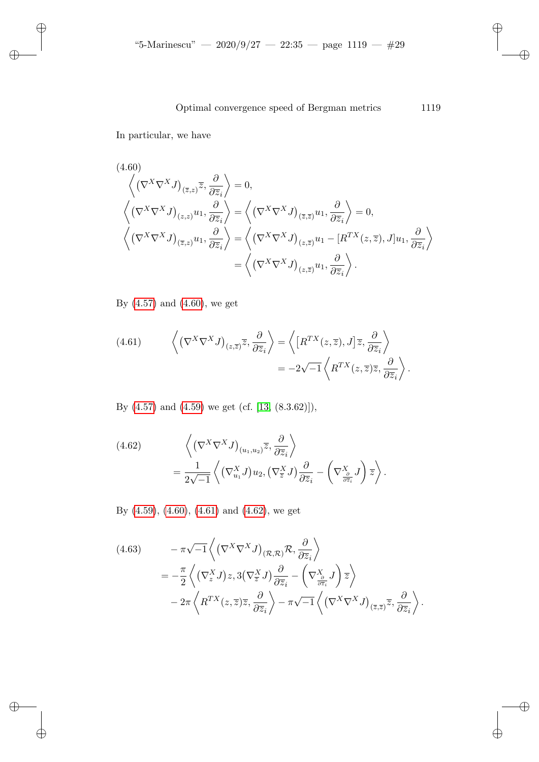<span id="page-28-0"></span>In particular, we have

✐

✐

✐

✐

(4.60)  
\n
$$
\left\langle \left( \nabla^X \nabla^X J \right)_{(\overline{z},z)} \overline{z}, \frac{\partial}{\partial \overline{z}_i} \right\rangle = 0,
$$
\n
$$
\left\langle \left( \nabla^X \nabla^X J \right)_{(z,z)} u_1, \frac{\partial}{\partial \overline{z}_i} \right\rangle = \left\langle \left( \nabla^X \nabla^X J \right)_{(\overline{z},\overline{z})} u_1, \frac{\partial}{\partial \overline{z}_i} \right\rangle = 0,
$$
\n
$$
\left\langle \left( \nabla^X \nabla^X J \right)_{(\overline{z},z)} u_1, \frac{\partial}{\partial \overline{z}_i} \right\rangle = \left\langle \left( \nabla^X \nabla^X J \right)_{(z,\overline{z})} u_1 - \left[ R^{TX}(z,\overline{z}), J \right] u_1, \frac{\partial}{\partial \overline{z}_i} \right\rangle
$$
\n
$$
= \left\langle \left( \nabla^X \nabla^X J \right)_{(z,\overline{z})} u_1, \frac{\partial}{\partial \overline{z}_i} \right\rangle.
$$

By (4.57) and (4.60), we get

(4.61) 
$$
\left\langle \left(\nabla^X \nabla^X J\right)_{(z,\overline{z})} \overline{z}, \frac{\partial}{\partial \overline{z}_i} \right\rangle = \left\langle \left[R^{TX}(z,\overline{z}), J\right] \overline{z}, \frac{\partial}{\partial \overline{z}_i} \right\rangle
$$

$$
= -2\sqrt{-1} \left\langle R^{TX}(z,\overline{z}) \overline{z}, \frac{\partial}{\partial \overline{z}_i} \right\rangle.
$$

<span id="page-28-1"></span>By (4.57) and (4.59) we get (cf. [13, (8.3.62)]),

(4.62) 
$$
\left\langle \left(\nabla^X \nabla^X J\right)_{(u_1, u_2)} \overline{z}, \frac{\partial}{\partial \overline{z}_i} \right\rangle
$$

$$
= \frac{1}{2\sqrt{-1}} \left\langle \left(\nabla^X_{u_1} J\right) u_2, \left(\nabla^X_{\overline{z}} J\right) \frac{\partial}{\partial \overline{z}_i} - \left(\nabla^X_{\frac{\partial}{\partial z_i}} J\right) \overline{z} \right\rangle.
$$

By (4.59), (4.60), (4.61) and (4.62), we get

(4.63) 
$$
- \pi \sqrt{-1} \left\langle \left( \nabla^X \nabla^X J \right)_{(\mathcal{R}, \mathcal{R})} \mathcal{R}, \frac{\partial}{\partial \overline{z}_i} \right\rangle
$$

$$
= -\frac{\pi}{2} \left\langle \left( \nabla_z^X J \right) z, 3 \left( \nabla_{\overline{z}}^X J \right) \frac{\partial}{\partial \overline{z}_i} - \left( \nabla_{\frac{\partial}{\partial \overline{z}_i}}^X J \right) \overline{z} \right\rangle
$$

$$
- 2\pi \left\langle R^{TX}(z, \overline{z}) \overline{z}, \frac{\partial}{\partial \overline{z}_i} \right\rangle - \pi \sqrt{-1} \left\langle \left( \nabla^X \nabla^X J \right)_{(\overline{z}, \overline{z})} \overline{z}, \frac{\partial}{\partial \overline{z}_i} \right\rangle.
$$

 $\oplus$ 

✐

✐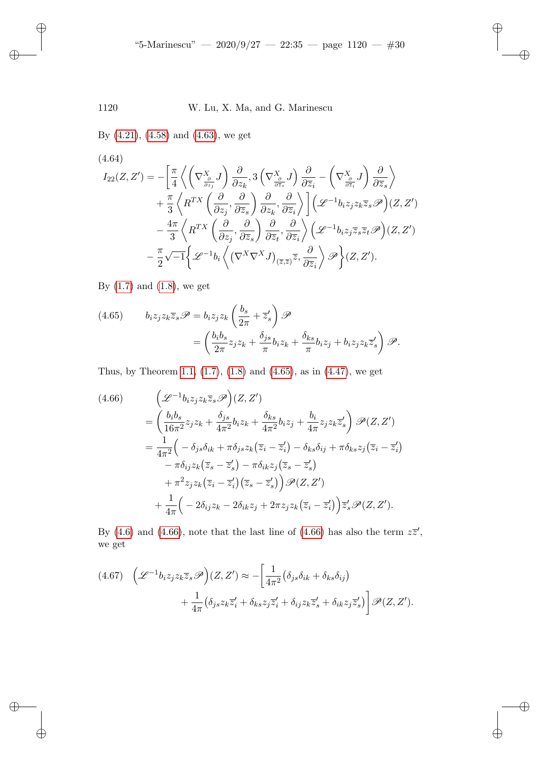By (4.21), (4.58) and (4.63), we get

✐

✐

 $\oplus$ 

✐

(4.64)  
\n
$$
I_{22}(Z, Z') = -\left[\frac{\pi}{4}\left\langle \left(\nabla \frac{x_{\delta}}{\frac{\partial}{\partial z_{j}}}, \mathbf{J}\right) \frac{\partial}{\partial z_{k}}, 3\left(\nabla \frac{x_{\delta}}{\frac{\partial}{\partial \overline{z}_{s}}}, \mathbf{J}\right) \frac{\partial}{\partial \overline{z}_{i}} - \left(\nabla \frac{x_{\delta}}{\frac{\partial}{\partial \overline{z}_{i}}}, \mathbf{J}\right) \frac{\partial}{\partial \overline{z}_{s}}\right\rangle \right. \\
\left. + \frac{\pi}{3}\left\langle R^{TX}\left(\frac{\partial}{\partial z_{j}}, \frac{\partial}{\partial \overline{z}_{s}}\right) \frac{\partial}{\partial z_{k}}, \frac{\partial}{\partial \overline{z}_{i}}\right\rangle\right] \left(\mathcal{L}^{-1}b_{i}z_{j}z_{k}\overline{z}_{s}\mathcal{P}\right)(Z, Z') \\
- \frac{4\pi}{3}\left\langle R^{TX}\left(\frac{\partial}{\partial z_{j}}, \frac{\partial}{\partial \overline{z}_{s}}\right) \frac{\partial}{\partial \overline{z}_{t}}, \frac{\partial}{\partial \overline{z}_{i}}\right\rangle \left(\mathcal{L}^{-1}b_{i}z_{j}\overline{z}_{s}\overline{z}_{t}\mathcal{P}\right)(Z, Z') \\
- \frac{\pi}{2}\sqrt{-1}\left\{\mathcal{L}^{-1}b_{i}\left\langle \left(\nabla^{X}\nabla^{X}J\right)_{(\overline{z},\overline{z})}\overline{z}, \frac{\partial}{\partial \overline{z}_{i}}\right\rangle \mathcal{P}\right\}(Z, Z').
$$

<span id="page-29-0"></span>By  $(1.7)$  and  $(1.8)$ , we get

<span id="page-29-1"></span>(4.65) 
$$
b_i z_j z_k \overline{z}_s \mathscr{P} = b_i z_j z_k \left( \frac{b_s}{2\pi} + \overline{z}'_s \right) \mathscr{P}
$$

$$
= \left( \frac{b_i b_s}{2\pi} z_j z_k + \frac{\delta_{js}}{\pi} b_i z_k + \frac{\delta_{ks}}{\pi} b_i z_j + b_i z_j z_k \overline{z}'_s \right) \mathscr{P}.
$$

Thus, by Theorem 1.1, (1.7), (1.8) and (4.65), as in (4.47), we get

$$
(4.66) \qquad \left(\mathcal{L}^{-1}b_iz_jz_k\overline{z}_s\mathcal{P}\right)(Z,Z')
$$
\n
$$
= \left(\frac{b_ib_s}{16\pi^2}z_jz_k + \frac{\delta_{js}}{4\pi^2}b_iz_k + \frac{\delta_{ks}}{4\pi^2}b_iz_j + \frac{b_i}{4\pi}z_jz_k\overline{z}'_s\right)\mathcal{P}(Z,Z')
$$
\n
$$
= \frac{1}{4\pi^2}\left(-\delta_{js}\delta_{ik} + \pi\delta_{js}z_k\left(\overline{z}_i - \overline{z}'_i\right) - \delta_{ks}\delta_{ij} + \pi\delta_{ks}z_j\left(\overline{z}_i - \overline{z}'_i\right) - \pi\delta_{ij}z_k\left(\overline{z}_s - \overline{z}'_s\right) - \pi\delta_{ik}z_j\left(\overline{z}_s - \overline{z}'_s\right)
$$
\n
$$
+ \pi^2 z_jz_k\left(\overline{z}_i - \overline{z}'_i\right)\left(\overline{z}_s - \overline{z}'_s\right)\mathcal{P}(Z,Z')
$$
\n
$$
+ \frac{1}{4\pi}\left(-2\delta_{ij}z_k - 2\delta_{ik}z_j + 2\pi z_jz_k\left(\overline{z}_i - \overline{z}'_i\right)\right)\overline{z}'_s\mathcal{P}(Z,Z').
$$

By (4.6) and (4.66), note that the last line of (4.66) has also the term  $z\overline{z}'$ , we get

$$
(4.67) \quad \left(\mathcal{L}^{-1}b_iz_jz_k\overline{z}_s\mathcal{P}\right)(Z,Z') \approx -\left[\frac{1}{4\pi^2}\left(\delta_{js}\delta_{ik} + \delta_{ks}\delta_{ij}\right) + \frac{1}{4\pi}\left(\delta_{js}z_k\overline{z}'_i + \delta_{ks}z_j\overline{z}'_i + \delta_{ij}z_k\overline{z}'_s + \delta_{ik}z_j\overline{z}'_s\right)\right]\mathcal{P}(Z,Z').
$$

✐

✐

 $\oplus$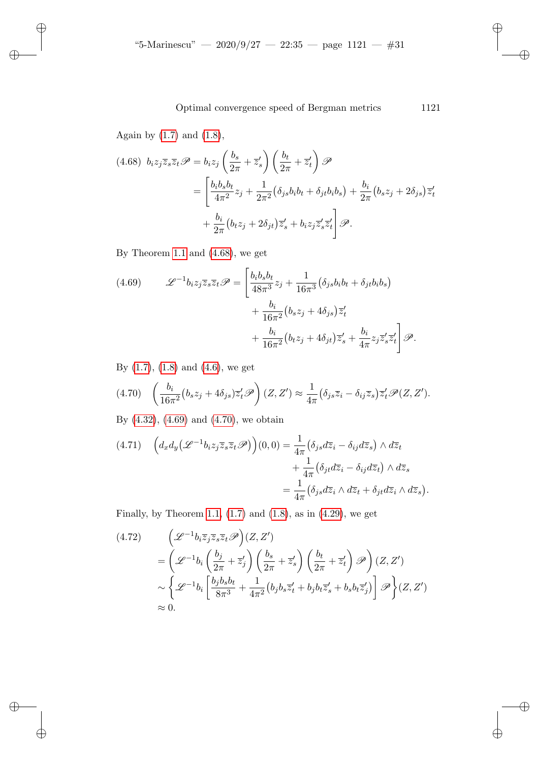Again by  $(1.7)$  and  $(1.8)$ ,

✐

✐

✐

✐

$$
(4.68) \ b_i z_j \overline{z}_s \overline{z}_t \mathscr{P} = b_i z_j \left( \frac{b_s}{2\pi} + \overline{z}'_s \right) \left( \frac{b_t}{2\pi} + \overline{z}'_t \right) \mathscr{P}
$$
  

$$
= \left[ \frac{b_i b_s b_t}{4\pi^2} z_j + \frac{1}{2\pi^2} \left( \delta_{js} b_i b_t + \delta_{jt} b_i b_s \right) + \frac{b_i}{2\pi} \left( b_s z_j + 2\delta_{js} \right) \overline{z}'_t + \frac{b_i}{2\pi} \left( b_t z_j + 2\delta_{jt} \right) \overline{z}'_s + b_i z_j \overline{z}'_s \overline{z}'_t \right] \mathscr{P}.
$$

<span id="page-30-0"></span>By Theorem 1.1 and (4.68), we get

(4.69) 
$$
\mathscr{L}^{-1}b_iz_j\overline{z}_s\overline{z}_t\mathscr{P} = \left[\frac{b_ib_sb_t}{48\pi^3}z_j + \frac{1}{16\pi^3}(\delta_{js}b_ib_t + \delta_{jt}b_ib_s) + \frac{b_i}{16\pi^2}(b_sz_j + 4\delta_{js})\overline{z}'_t + \frac{b_i}{16\pi^2}(b_tz_j + 4\delta_{jt})\overline{z}'_s + \frac{b_i}{4\pi}z_j\overline{z}'_s\overline{z}'_t\right]\mathscr{P}.
$$

<span id="page-30-1"></span>B[y \(1.7](#page-30-0)), (1.[8\) an](#page-30-1)d (4.6), we get

$$
(4.70)\quad \left(\frac{b_i}{16\pi^2}\big(b_s z_j + 4\delta_{js}\big)\overline{z}'_t \mathscr{P}\right)(Z,Z') \approx \frac{1}{4\pi}\big(\delta_{js}\overline{z}_i - \delta_{ij}\overline{z}_s\big)\overline{z}'_t \mathscr{P}(Z,Z').
$$

By (4.32), (4.69) and (4.70), we obtain

$$
(4.71) \quad \left( d_x d_y \left( \mathcal{L}^{-1} b_i z_j \overline{z}_s \overline{z}_t \mathcal{P} \right) \right) (0,0) = \frac{1}{4\pi} \left( \delta_{js} d\overline{z}_i - \delta_{ij} d\overline{z}_s \right) \wedge d\overline{z}_t + \frac{1}{4\pi} \left( \delta_{jt} d\overline{z}_i - \delta_{ij} d\overline{z}_t \right) \wedge d\overline{z}_s = \frac{1}{4\pi} \left( \delta_{js} d\overline{z}_i \wedge d\overline{z}_t + \delta_{jt} d\overline{z}_i \wedge d\overline{z}_s \right).
$$

Finally, by Theorem 1.1,  $(1.7)$  and  $(1.8)$ , as in  $(4.29)$ , we get

$$
(4.72) \qquad \left(\mathcal{L}^{-1}b_i\overline{z}_j\overline{z}_s\overline{z}_t\mathcal{P}\right)(Z,Z')
$$
  
\n
$$
= \left(\mathcal{L}^{-1}b_i\left(\frac{b_j}{2\pi} + \overline{z}'_j\right)\left(\frac{b_s}{2\pi} + \overline{z}'_s\right)\left(\frac{b_t}{2\pi} + \overline{z}'_t\right)\mathcal{P}\right)(Z,Z')
$$
  
\n
$$
\sim \left\{\mathcal{L}^{-1}b_i\left[\frac{b_jb_sb_t}{8\pi^3} + \frac{1}{4\pi^2}\left(b_jb_s\overline{z}'_t + b_jb_t\overline{z}'_s + b_sb_t\overline{z}'_j\right)\right]\mathcal{P}\right\}(Z,Z')
$$
  
\n
$$
\approx 0.
$$

✐

✐

✐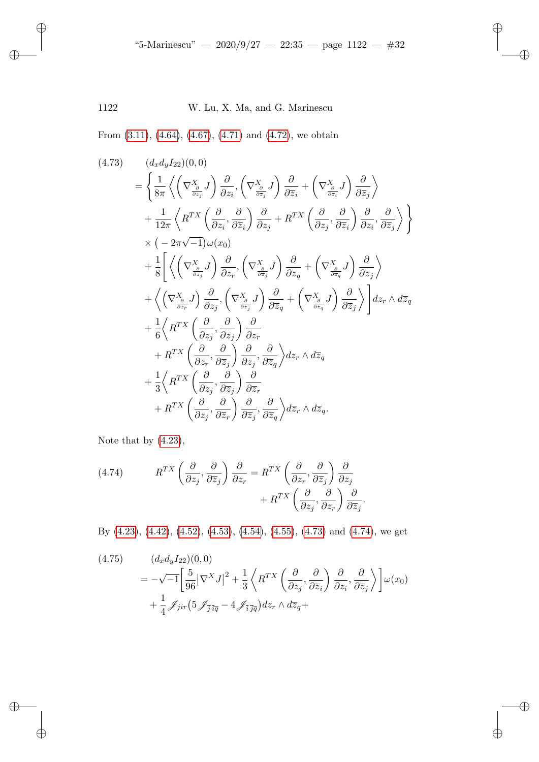<span id="page-31-0"></span>From (3.11), (4.64), (4.67), (4.71) and (4.72), we obtain

$$
(4.73) \quad (d_x d_y I_{22})(0,0)
$$
\n
$$
= \left\{ \frac{1}{8\pi} \left\langle \left( \nabla_{\frac{\partial}{\partial z_j}}^X J \right) \frac{\partial}{\partial z_i}, \left( \nabla_{\frac{\partial}{\partial \overline{z}_j}}^X J \right) \frac{\partial}{\partial \overline{z}_i} + \left( \nabla_{\frac{\partial}{\partial z_i}}^X J \right) \frac{\partial}{\partial \overline{z}_j} \right\rangle \right\}
$$
\n
$$
+ \frac{1}{12\pi} \left\langle R^{TX} \left( \frac{\partial}{\partial z_i}, \frac{\partial}{\partial \overline{z}_i} \right) \frac{\partial}{\partial z_j} + R^{TX} \left( \frac{\partial}{\partial z_j}, \frac{\partial}{\partial \overline{z}_i} \right) \frac{\partial}{\partial z_i}, \frac{\partial}{\partial \overline{z}_j} \right\rangle \right\}
$$
\n
$$
\times \left( -2\pi \sqrt{-1} \right) \omega(x_0)
$$
\n
$$
+ \frac{1}{8} \left[ \left\langle \left( \nabla_{\frac{\partial}{\partial z_j}}^X J \right) \frac{\partial}{\partial z_r}, \left( \nabla_{\frac{\partial}{\partial z_j}}^X J \right) \frac{\partial}{\partial \overline{z}_q} + \left( \nabla_{\frac{\partial}{\partial z_i}}^X J \right) \frac{\partial}{\partial \overline{z}_j} \right\rangle \right\}
$$
\n
$$
+ \left\langle \left( \nabla_{\frac{\partial}{\partial z_r}}^X J \right) \frac{\partial}{\partial z_j}, \left( \nabla_{\frac{\partial}{\partial z_j}}^X J \right) \frac{\partial}{\partial \overline{z}_q} + \left( \nabla_{\frac{\partial}{\partial z_i}}^X J \right) \frac{\partial}{\partial \overline{z}_j} \right\rangle \right\} dz_r \wedge d\overline{z}_q
$$
\n
$$
+ \frac{1}{6} \left\langle R^{TX} \left( \frac{\partial}{\partial z_j}, \frac{\partial}{\partial z_j} \right) \frac{\partial}{\partial z_r}
$$
\n
$$
+ R^{TX} \left( \frac{\partial}{\partial z_j}, \frac{\partial}{\partial \overline{z}_j} \right) \frac{\partial}{\partial \overline{z}_r} +
$$

<span id="page-31-1"></span>Note that by (4.23),

✐

✐

 $\oplus$ 

✐

(4.74) 
$$
R^{TX} \left( \frac{\partial}{\partial z_j}, \frac{\partial}{\partial \overline{z}_j} \right) \frac{\partial}{\partial z_r} = R^{TX} \left( \frac{\partial}{\partial z_r}, \frac{\partial}{\partial \overline{z}_j} \right) \frac{\partial}{\partial z_j} + R^{TX} \left( \frac{\partial}{\partial z_j}, \frac{\partial}{\partial z_r} \right) \frac{\partial}{\partial \overline{z}_j}.
$$

By (4.23), (4.42), (4.52), (4.53), (4.54), (4.55), (4.73) and (4.74), we get

(4.75) 
$$
(d_x d_y I_{22})(0,0)
$$
  
=  $-\sqrt{-1} \left[ \frac{5}{96} |\nabla^X J|^2 + \frac{1}{3} \left\langle R^{TX} \left( \frac{\partial}{\partial z_j}, \frac{\partial}{\partial \overline{z}_i} \right) \frac{\partial}{\partial z_i}, \frac{\partial}{\partial \overline{z}_j} \right\rangle \right] \omega(x_0)$   
+  $\frac{1}{4} \mathcal{J}_{jir} \left( 5 \mathcal{J}_{\overline{j} \overline{q}} - 4 \mathcal{J}_{\overline{i} \overline{j} \overline{q}} \right) dz_r \wedge d\overline{z}_q +$ 

✐

✐

 $\oplus$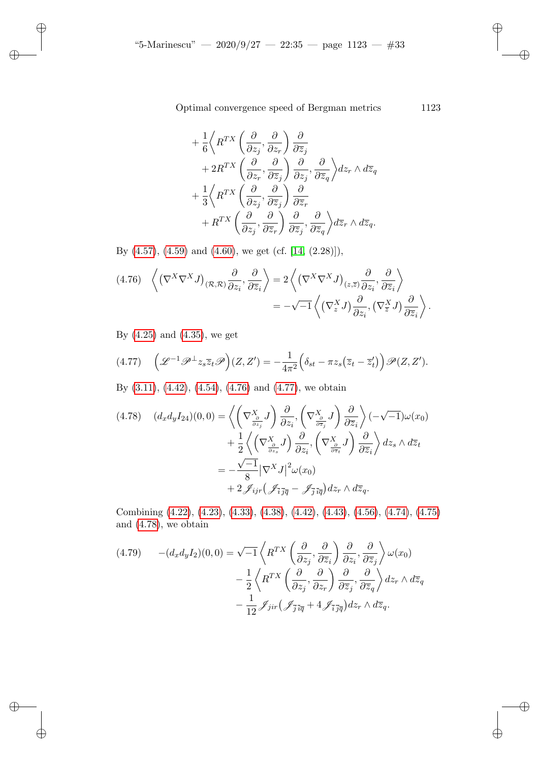$$
+\frac{1}{6}\left\langle R^{TX}\left(\frac{\partial}{\partial z_j},\frac{\partial}{\partial z_r}\right)\frac{\partial}{\partial \overline{z}_j}\right.\n+2R^{TX}\left(\frac{\partial}{\partial z_r},\frac{\partial}{\partial \overline{z}_j}\right)\frac{\partial}{\partial z_j},\frac{\partial}{\partial \overline{z}_q}\right\rangle dz_r \wedge d\overline{z}_q
$$
\n
$$
+\frac{1}{3}\left\langle R^{TX}\left(\frac{\partial}{\partial z_j},\frac{\partial}{\partial \overline{z}_j}\right)\frac{\partial}{\partial \overline{z}_r}\right.\n+R^{TX}\left(\frac{\partial}{\partial z_j},\frac{\partial}{\partial \overline{z}_r}\right)\frac{\partial}{\partial \overline{z}_j},\frac{\partial}{\partial \overline{z}_q}\right\rangle d\overline{z}_r \wedge d\overline{z}_q.
$$

<span id="page-32-0"></span>By  $(4.57)$ ,  $(4.59)$  and  $(4.60)$ , we get (cf. [14,  $(2.28)$ ]),

<span id="page-32-1"></span>
$$
(4.76)\quad \left\langle \left(\nabla^X \nabla^X J\right)_{(\mathcal{R},\mathcal{R})} \frac{\partial}{\partial z_i}, \frac{\partial}{\partial \overline{z}_i} \right\rangle = 2 \left\langle \left(\nabla^X \nabla^X J\right)_{(z,\overline{z})} \frac{\partial}{\partial z_i}, \frac{\partial}{\partial \overline{z}_i} \right\rangle
$$

$$
= -\sqrt{-1} \left\langle \left(\nabla^X_z J\right) \frac{\partial}{\partial z_i}, \left(\nabla^X_{\overline{z}} J\right) \frac{\partial}{\partial \overline{z}_i} \right\rangle.
$$

B[y \(4.2](#page-23-0)5[\) and](#page-26-4) ([4.35\),](#page-32-0) we ge[t](#page-32-1)

✐

✐

✐

✐

$$
(4.77) \quad \left(\mathcal{L}^{-1}\mathcal{P}^{\perp}z_{s}\overline{z}_{t}\mathcal{P}\right)(Z,Z') = -\frac{1}{4\pi^{2}}\left(\delta_{st} - \pi z_{s}\left(\overline{z}_{t} - \overline{z}_{t}'\right)\right)\mathcal{P}(Z,Z').
$$

By (3.11), (4.42), (4.54), (4.76) and (4.77), we obtain

$$
(4.78) \quad (d_x d_y I_{24})(0,0) = \left\langle \left(\nabla \frac{x}{\frac{\partial}{\partial z_j}} J\right) \frac{\partial}{\partial z_i}, \left(\nabla \frac{x}{\frac{\partial}{\partial \overline{z}_j}} J\right) \frac{\partial}{\partial \overline{z}_i} \right\rangle (-\sqrt{-1}) \omega(x_0) + \frac{1}{2} \left\langle \left(\nabla \frac{x}{\frac{\partial}{\partial z_s}} J\right) \frac{\partial}{\partial z_i}, \left(\nabla \frac{x}{\frac{\partial}{\partial z_t}} J\right) \frac{\partial}{\partial \overline{z}_i} \right\rangle dz_s \wedge d\overline{z}_t = -\frac{\sqrt{-1}}{8} |\nabla^X J|^2 \omega(x_0) + 2 \mathcal{J}_{ijr} \left(\mathcal{J}_{\overline{i},\overline{j}\overline{q}} - \mathcal{J}_{\overline{j},\overline{i}\overline{q}} \right) dz_r \wedge d\overline{z}_q.
$$

<span id="page-32-2"></span>Combining (4.22), (4.23), (4.33), (4.38), (4.42), (4.43), (4.56), (4.74), (4.75) and (4.78), we obtain

$$
(4.79) \qquad -(d_x d_y I_2)(0,0) = \sqrt{-1} \left\langle R^{TX} \left( \frac{\partial}{\partial z_j}, \frac{\partial}{\partial \overline{z}_i} \right) \frac{\partial}{\partial z_i}, \frac{\partial}{\partial \overline{z}_j} \right\rangle \omega(x_0)
$$

$$
- \frac{1}{2} \left\langle R^{TX} \left( \frac{\partial}{\partial z_j}, \frac{\partial}{\partial z_r} \right) \frac{\partial}{\partial \overline{z}_j}, \frac{\partial}{\partial \overline{z}_q} \right\rangle dz_r \wedge d\overline{z}_q
$$

$$
- \frac{1}{12} \mathcal{J}_{jir} \left( \mathcal{J}_{\overline{j} \overline{i} \overline{q}} + 4 \mathcal{J}_{\overline{i} \overline{j} \overline{q}} \right) dz_r \wedge d\overline{z}_q.
$$

✐

✐

✐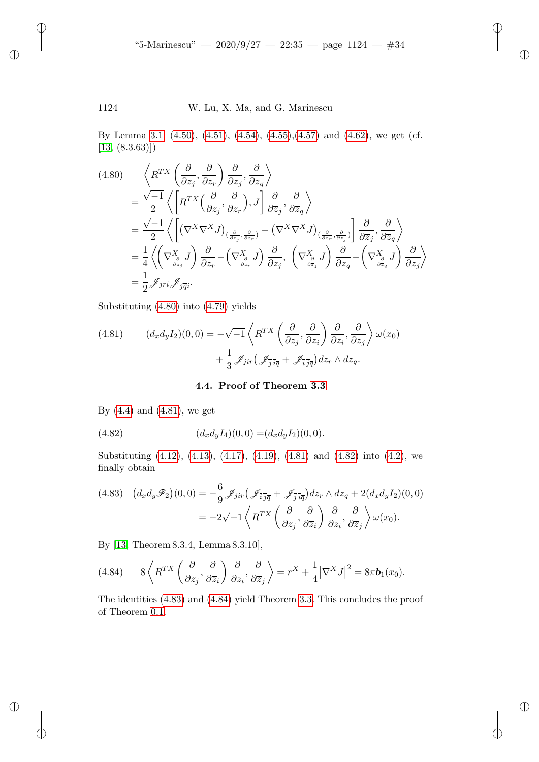✐

✐

✐

✐

### <span id="page-33-0"></span>1124 W. Lu, X. Ma, and G. Marinescu

✐

✐

✐

✐

By Lemma 3.1, (4.50), (4.51), (4.54), (4.55),(4.57) and (4.62), we get (cf.  $[13, (8.3.63)]$ 

$$
(4.80) \quad \left\langle R^{TX} \left( \frac{\partial}{\partial z_j}, \frac{\partial}{\partial z_r} \right) \frac{\partial}{\partial \overline{z}_j}, \frac{\partial}{\partial \overline{z}_q} \right\rangle
$$
  
\n
$$
= \frac{\sqrt{-1}}{2} \left\langle \left[ R^{TX} \left( \frac{\partial}{\partial z_j}, \frac{\partial}{\partial z_r} \right), J \right] \frac{\partial}{\partial \overline{z}_j}, \frac{\partial}{\partial \overline{z}_q} \right\rangle
$$
  
\n
$$
= \frac{\sqrt{-1}}{2} \left\langle \left[ (\nabla^X \nabla^X J)_{\left( \frac{\partial}{\partial z_j}, \frac{\partial}{\partial z_r} \right)} - (\nabla^X \nabla^X J)_{\left( \frac{\partial}{\partial z_r}, \frac{\partial}{\partial z_j} \right)} \right] \frac{\partial}{\partial \overline{z}_j}, \frac{\partial}{\partial \overline{z}_q} \right\rangle
$$
  
\n
$$
= \frac{1}{4} \left\langle \left( \nabla^X \frac{\partial}{\partial z_j} J \right) \frac{\partial}{\partial z_r} - \left( \nabla^X \frac{\partial}{\partial z_r} J \right) \frac{\partial}{\partial z_j}, \left( \nabla^X \frac{\partial}{\partial z_j} J \right) \frac{\partial}{\partial \overline{z}_q} - \left( \nabla^X \frac{\partial}{\partial z_j} J \right) \frac{\partial}{\partial \overline{z}_q} \right\rangle
$$
  
\n
$$
= \frac{1}{2} \mathcal{J}_{jri} \mathcal{J}_{\overline{j}\overline{q}i}.
$$

Substituting (4.80) into (4.79) yields

(4.81) 
$$
(d_x d_y I_2)(0,0) = -\sqrt{-1} \left\langle R^{TX} \left( \frac{\partial}{\partial z_j}, \frac{\partial}{\partial \overline{z}_i} \right) \frac{\partial}{\partial z_i}, \frac{\partial}{\partial \overline{z}_j} \right\rangle \omega(x_0) + \frac{1}{3} \mathcal{J}_{jir} \left( \mathcal{J}_{\overline{j} \overline{i} \overline{q}} + \mathcal{J}_{\overline{i} \overline{j} \overline{q}} \right) dz_r \wedge d\overline{z}_q.
$$

4.4. Proof of Theorem 3.3

By $(4.4)$  $(4.4)$  and  $(4.81)$ [, we](#page-17-2) ge[t](#page-17-3)

<span id="page-33-1"></span>(4.82) 
$$
(d_x d_y I_4)(0,0) = (d_x d_y I_2)(0,0).
$$

Substituting (4.12), (4.13), (4.17), (4.19), (4.81) and (4.82) into (4.2), we finally obtain

<span id="page-33-2"></span>
$$
(4.83) \quad (d_x d_y \mathscr{F}_2)(0,0) = -\frac{6}{9} \mathscr{J}_{jir} \left( \mathscr{J}_{\bar{i}\bar{j}\bar{q}} + \mathscr{J}_{\bar{j}\bar{i}\bar{q}} \right) dz_r \wedge d\bar{z}_q + 2(d_x d_y I_2)(0,0)
$$

$$
= -2\sqrt{-1} \left\langle R^{TX} \left( \frac{\partial}{\partial z_j}, \frac{\partial}{\partial \bar{z}_i} \right) \frac{\partial}{\partial z_i}, \frac{\partial}{\partial \bar{z}_j} \right\rangle \omega(x_0).
$$

By [1[3, Th](#page-33-1)eore[m 8.3.4](#page-33-2), Lemma 8.3.10[\],](#page-13-1)

(4.84) 
$$
8\left\langle R^{TX}\left(\frac{\partial}{\partial z_j},\frac{\partial}{\partial \overline{z}_i}\right)\frac{\partial}{\partial z_i},\frac{\partial}{\partial \overline{z}_j}\right\rangle = r^X + \frac{1}{4}|\nabla^X J|^2 = 8\pi \mathbf{b}_1(x_0).
$$

The identities (4.83) and (4.84) yield Theorem 3.3. This concludes the proof of Theorem 0.1.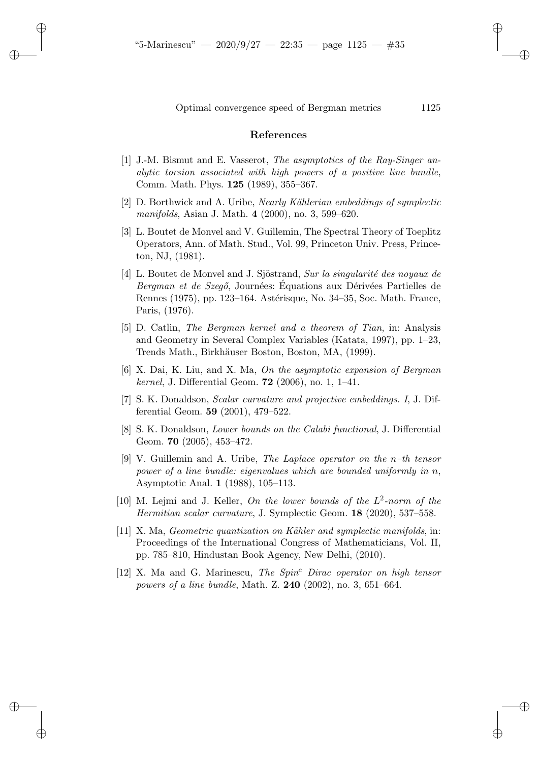#### References

- [1] J.-M. Bismut and E. Vasserot, *The asymptotics of the Ray-Singer analytic torsion associated with high powers of a positive line bundle*, Comm. Math. Phys. 125 (1989), 355–367.
- <span id="page-34-4"></span>[2] D. Borthwick and A. Uribe, *Nearly K¨ahlerian embeddings of symplectic manifolds*, Asian J. Math. 4 (2000), no. 3, 599–620.
- <span id="page-34-5"></span>[3] L. Boutet de Monvel and V. Guillemin, The Spectral Theory of Toeplitz Operators, Ann. of Math. Stud., Vol. 99, Princeton Univ. Press, Princeton, NJ, (1981).
- <span id="page-34-1"></span>[4] L. Boutet de Monvel and J. Sjöstrand, *Sur la singularité des noyaux de Bergman et de Szegő*, Journées: Equations aux Dérivées Partielles de Rennes (1975), pp. 123–164. Astérisque, No. 34–35, Soc. Math. France, Paris, (1976).
- <span id="page-34-0"></span>[5] D. Catlin, *The Bergman kernel and a theorem of Tian*, in: Analysis and Geometry in Several Complex Variables (Katata, 1997), pp. 1–23, Trends Math., Birkhäuser Boston, Boston, MA, (1999).
- <span id="page-34-2"></span>[6] X. Dai, K. Liu, and X. Ma, *On the asymptotic expansion of Bergman kernel*, J. Differential Geom. 72 (2006), no. 1, 1–41.
- <span id="page-34-6"></span>[7] S. K. Donaldson, *Scalar curvature and projective embeddings. I*, J. Differential Geom. 59 (2001), 479–522.
- <span id="page-34-7"></span>[8] S. K. Donaldson, *Lower bounds on the Calabi functional*, J. Differential Geom. **70** (2005), 453-472.
- <span id="page-34-3"></span>[9] V. Guillemin and A. Uribe, *The Laplace operator on the* n*–th tensor power of a line bundle: eigenvalues which are bounded uniformly in* n, Asymptotic Anal. 1 (1988), 105–113.
- <span id="page-34-8"></span>[10] M. Lejmi and J. Keller, *On the lower bounds of the* L 2 *-norm of the Hermitian scalar curvature*, J. Symplectic Geom. 18 (2020), 537–558.
- [11] X. Ma, *Geometric quantization on K¨ahler and symplectic manifolds*, in: Proceedings of the International Congress of Mathematicians, Vol. II, pp. 785–810, Hindustan Book Agency, New Delhi, (2010).
- [12] X. Ma and G. Marinescu, *The Spin*<sup>c</sup> *Dirac operator on high tensor powers of a line bundle*, Math. Z. 240 (2002), no. 3, 651–664.